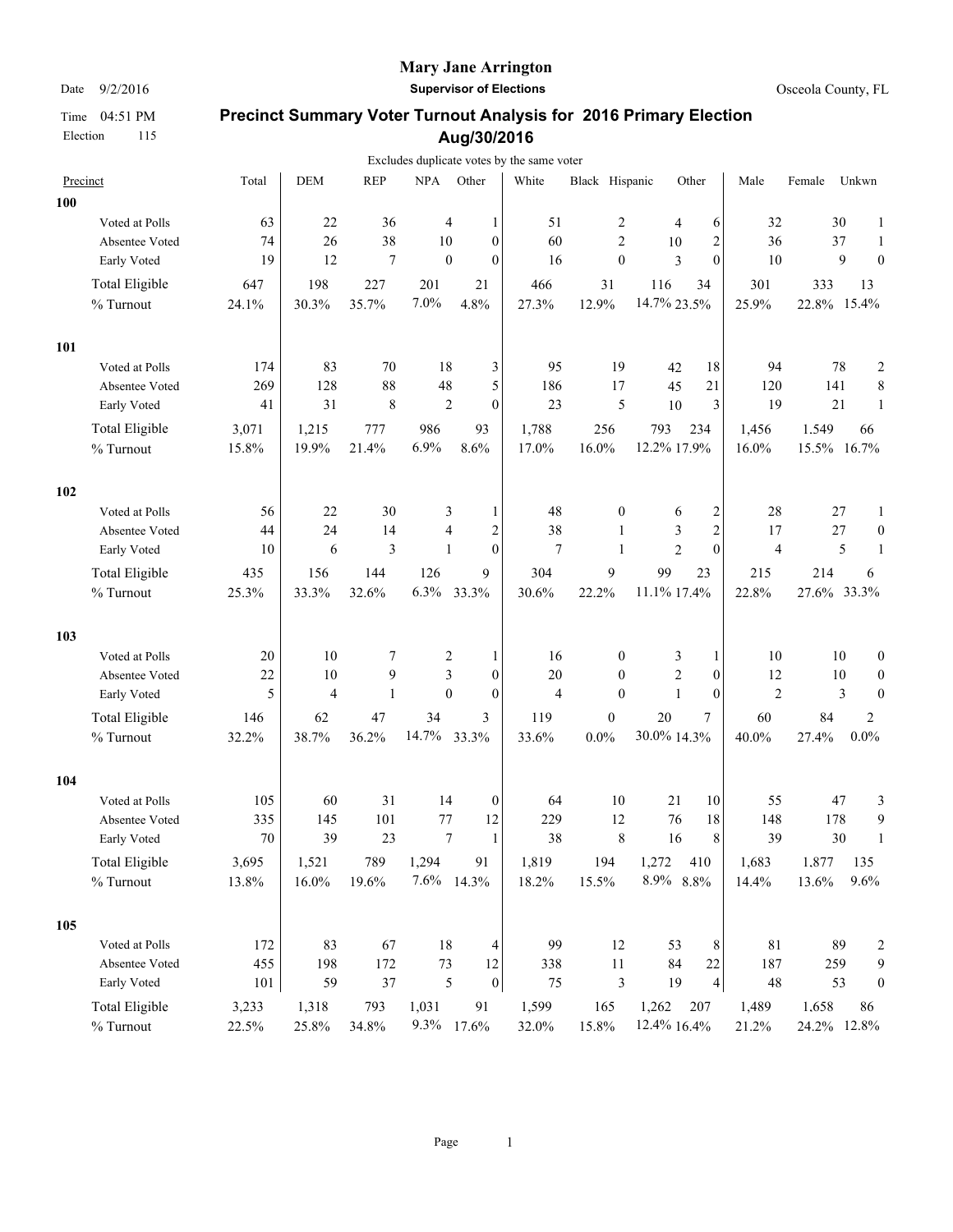Election 115

#### **Mary Jane Arrington**

Date  $9/2/2016$  **Supervisor of Elections Supervisor of Elections Osceola County, FL** 

|     |                       |       |            |              |                  |                         | Excludes duplicate votes by the same voter |                  |                |                         |                |             |        |                         |
|-----|-----------------------|-------|------------|--------------|------------------|-------------------------|--------------------------------------------|------------------|----------------|-------------------------|----------------|-------------|--------|-------------------------|
|     | Precinct              | Total | <b>DEM</b> | <b>REP</b>   | NPA Other        |                         | White                                      | Black Hispanic   |                | Other                   | Male           | Female      | Unkwn  |                         |
| 100 |                       |       |            |              |                  |                         |                                            |                  |                |                         |                |             |        |                         |
|     | Voted at Polls        | 63    | 22         | 36           | 4                | 1                       | 51                                         | 2                | 4              | 6                       | 32             |             | 30     | 1                       |
|     | Absentee Voted        | 74    | 26         | 38           | 10               | $\mathbf{0}$            | 60                                         | $\mathfrak{2}$   | 10             | $\boldsymbol{2}$        | 36             |             | 37     | 1                       |
|     | Early Voted           | 19    | 12         | $\tau$       | $\boldsymbol{0}$ | $\mathbf{0}$            | 16                                         | $\boldsymbol{0}$ | 3              | $\theta$                | 10             |             | 9      | $\theta$                |
|     | Total Eligible        | 647   | 198        | 227          | 201              | 21                      | 466                                        | 31               | 116            | 34                      | 301            | 333         |        | 13                      |
|     | % Turnout             | 24.1% | 30.3%      | 35.7%        | 7.0%             | 4.8%                    | 27.3%                                      | 12.9%            | 14.7% 23.5%    |                         | 25.9%          | 22.8% 15.4% |        |                         |
| 101 |                       |       |            |              |                  |                         |                                            |                  |                |                         |                |             |        |                         |
|     | Voted at Polls        | 174   | 83         | 70           | 18               | 3                       | 95                                         | 19               | 42             | 18                      | 94             |             | 78     | $\overline{\mathbf{c}}$ |
|     | Absentee Voted        | 269   | 128        | 88           | 48               | 5                       | 186                                        | 17               | 45             | 21                      | 120            | 141         |        | 8                       |
|     | Early Voted           | 41    | 31         | 8            | $\overline{2}$   | $\overline{0}$          | 23                                         | 5                | 10             | 3                       | 19             |             | 21     | 1                       |
|     | <b>Total Eligible</b> | 3,071 | 1,215      | 777          | 986              | 93                      | 1,788                                      | 256              | 793            | 234                     | 1,456          | 1.549       |        | 66                      |
|     | % Turnout             | 15.8% | 19.9%      | 21.4%        | 6.9%             | 8.6%                    | 17.0%                                      | 16.0%            | 12.2% 17.9%    |                         | 16.0%          | 15.5% 16.7% |        |                         |
| 102 |                       |       |            |              |                  |                         |                                            |                  |                |                         |                |             |        |                         |
|     | Voted at Polls        | 56    | 22         | 30           | 3                | 1                       | 48                                         | $\boldsymbol{0}$ | 6              | $\overline{\mathbf{c}}$ | 28             |             | $27\,$ | 1                       |
|     | Absentee Voted        | 44    | 24         | 14           | 4                | $\overline{\mathbf{c}}$ | 38                                         | $\mathbf{1}$     | 3              | $\overline{c}$          | 17             |             | 27     | $\boldsymbol{0}$        |
|     | Early Voted           | 10    | 6          | 3            | 1                | $\mathbf{0}$            | $\overline{7}$                             | $\mathbf{1}$     | $\overline{2}$ | $\theta$                | $\overline{4}$ |             | 5      |                         |
|     | <b>Total Eligible</b> | 435   | 156        | 144          | 126              | 9                       | 304                                        | 9                | 99             | 23                      | 215            | 214         |        | 6                       |
|     | % Turnout             | 25.3% | 33.3%      | 32.6%        | 6.3%             | 33.3%                   | 30.6%                                      | 22.2%            | 11.1% 17.4%    |                         | 22.8%          | 27.6% 33.3% |        |                         |
| 103 |                       |       |            |              |                  |                         |                                            |                  |                |                         |                |             |        |                         |
|     | Voted at Polls        | 20    | 10         | 7            | 2                | 1                       | 16                                         | $\boldsymbol{0}$ | 3              | 1                       | 10             |             | 10     | $\boldsymbol{0}$        |
|     | Absentee Voted        | 22    | 10         | 9            | 3                | $\overline{0}$          | 20                                         | $\mathbf{0}$     | $\overline{c}$ | $\boldsymbol{0}$        | 12             |             | 10     | $\boldsymbol{0}$        |
|     | Early Voted           | 5     | 4          | $\mathbf{1}$ | $\mathbf{0}$     | $\overline{0}$          | $\overline{4}$                             | $\mathbf{0}$     | $\mathbf{1}$   | $\mathbf{0}$            | $\overline{c}$ |             | 3      | $\boldsymbol{0}$        |
|     | <b>Total Eligible</b> | 146   | 62         | 47           | 34               | 3                       | 119                                        | $\boldsymbol{0}$ | 20             | 7                       | 60             | 84          |        | 2                       |
|     | % Turnout             | 32.2% | 38.7%      | 36.2%        | 14.7%            | 33.3%                   | 33.6%                                      | $0.0\%$          | 30.0% 14.3%    |                         | 40.0%          | 27.4%       |        | $0.0\%$                 |
| 104 |                       |       |            |              |                  |                         |                                            |                  |                |                         |                |             |        |                         |
|     | Voted at Polls        | 105   | 60         | 31           | 14               | $\boldsymbol{0}$        | 64                                         | 10               | 21             | 10                      | 55             |             | 47     | 3                       |
|     | Absentee Voted        | 335   | 145        | 101          | 77               | 12                      | 229                                        | 12               | 76             | 18                      | 148            |             | 178    | 9                       |
|     | Early Voted           | 70    | 39         | 23           | 7                | 1                       | 38                                         | 8                | 16             | 8                       | 39             |             | 30     | $\mathbf{1}$            |
|     | Total Eligible        | 3,695 | 1,521      | 789          | 1,294            | 91                      | 1,819                                      | 194              | 1,272          | 410                     | 1,683          | 1.877       |        | 135                     |
|     | % Turnout             | 13.8% | $16.0\%$   | 19.6%        | 7.6% 14.3%       |                         | 18.2%                                      | 15.5%            | 8.9% 8.8%      |                         | 14.4%          | 13.6%       |        | 9.6%                    |
| 105 |                       |       |            |              |                  |                         |                                            |                  |                |                         |                |             |        |                         |
|     | Voted at Polls        | 172   | 83         | 67           | 18               | 4                       | 99                                         | 12               | 53             | 8                       | 81             |             | 89     | $\overline{\mathbf{c}}$ |
|     | Absentee Voted        | 455   | 198        | 172          | 73               | 12                      | 338                                        | $11\,$           | 84             | $22\,$                  | 187            | 259         |        | 9                       |
|     | Early Voted           | 101   | 59         | $37\,$       | $\mathfrak s$    | $\boldsymbol{0}$        | $75\,$                                     | $\mathfrak z$    | 19             | $\vert 4 \vert$         | $48\,$         |             | 53     | $\boldsymbol{0}$        |
|     | <b>Total Eligible</b> | 3,233 | 1,318      | 793          | 1,031            | 91                      | 1,599                                      | 165              | 1,262          | 207                     | 1,489          | 1.658       |        | 86                      |
|     | $\%$ Turnout          | 22.5% | 25.8%      | 34.8%        | 9.3% 17.6%       |                         | 32.0%                                      | 15.8%            | 12.4% 16.4%    |                         | 21.2%          | 24.2% 12.8% |        |                         |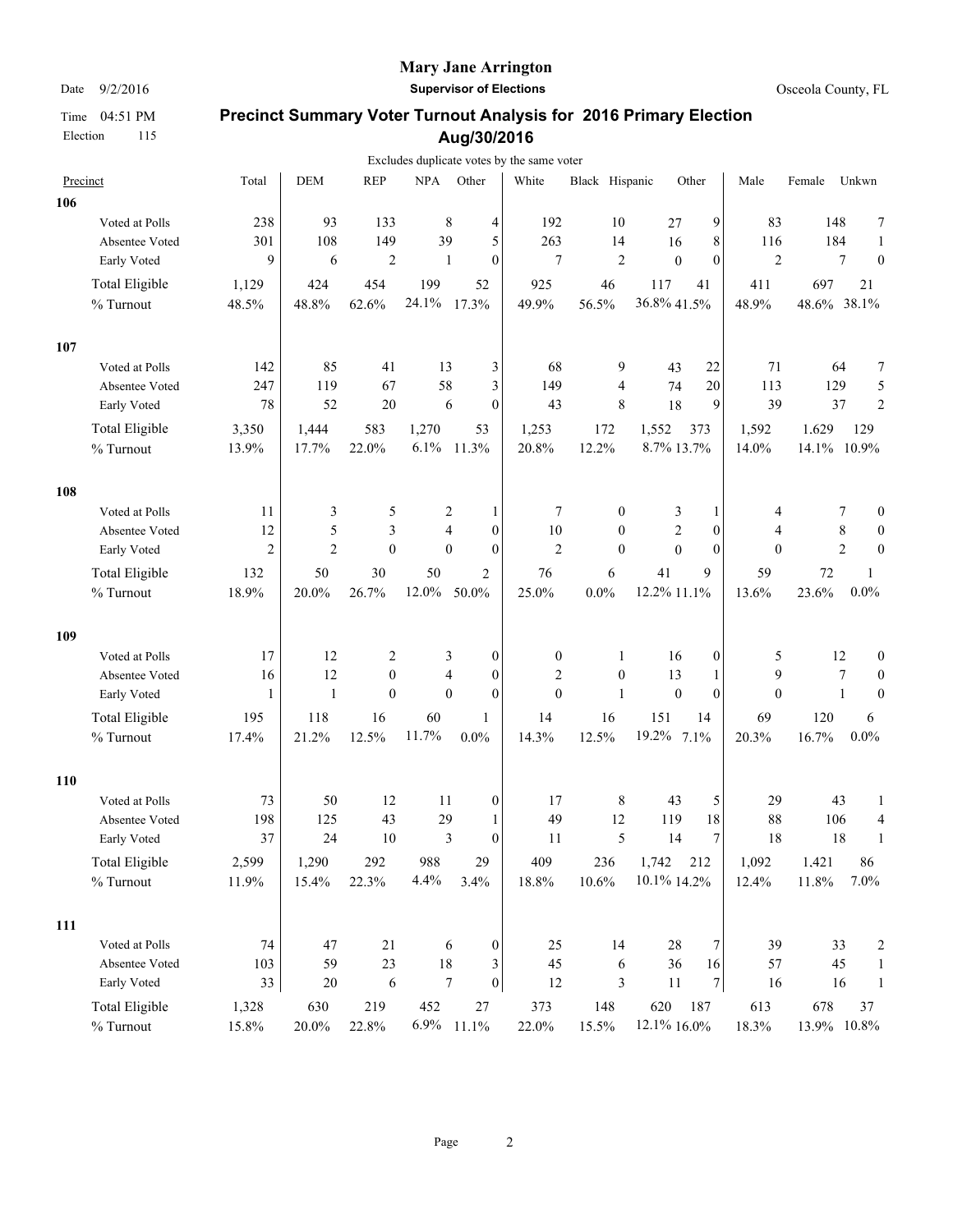Election 115

#### **Mary Jane Arrington**

Date  $9/2/2016$  **Supervisor of Elections Supervisor of Elections Osceola County, FL** 

|     |                       |                  |                |                         |        |                                  | Excludes duplicate votes by the same voter |                  |                |                  |                |             |                |                         |
|-----|-----------------------|------------------|----------------|-------------------------|--------|----------------------------------|--------------------------------------------|------------------|----------------|------------------|----------------|-------------|----------------|-------------------------|
|     | Precinct              | Total            | <b>DEM</b>     | <b>REP</b>              | NPA    | Other                            | White                                      | Black Hispanic   |                | Other            | Male           | Female      | Unkwn          |                         |
| 106 |                       |                  |                |                         |        |                                  |                                            |                  |                |                  |                |             |                |                         |
|     | Voted at Polls        | 238              | 93             | 133                     |        | 8<br>4                           | 192                                        | 10               | 27             | 9                | 83             | 148         |                | 7                       |
|     | Absentee Voted        | 301              | 108            | 149                     | 39     | 5                                | 263                                        | 14               | 16             | 8                | 116            | 184         |                | $\mathbf{1}$            |
|     | Early Voted           | 9                | 6              | $\overline{c}$          |        | $\mathbf{0}$<br>1                | 7                                          | $\mathfrak{2}$   | $\mathbf{0}$   | $\mathbf{0}$     | $\overline{2}$ |             | 7              | $\boldsymbol{0}$        |
|     | Total Eligible        | 1,129            | 424            | 454                     | 199    | 52                               | 925                                        | 46               | 117            | 41               | 411            | 697         |                | 21                      |
|     | % Turnout             | 48.5%            | 48.8%          | 62.6%                   | 24.1%  | 17.3%                            | 49.9%                                      | 56.5%            | 36.8% 41.5%    |                  | 48.9%          | 48.6% 38.1% |                |                         |
| 107 |                       |                  |                |                         |        |                                  |                                            |                  |                |                  |                |             |                |                         |
|     | Voted at Polls        | 142              | 85             | 41                      | 13     | 3                                | 68                                         | 9                | 43             | 22               | 71             |             | 64             | 7                       |
|     | Absentee Voted        | 247              | 119            | 67                      | 58     | 3                                | 149                                        | $\overline{4}$   | 74             | 20               | 113            | 129         |                | 5                       |
|     | Early Voted           | 78               | 52             | 20                      |        | 6<br>$\mathbf{0}$                | 43                                         | 8                | 18             | 9                | 39             |             | 37             | $\overline{2}$          |
|     | Total Eligible        | 3,350            | 1,444          | 583                     | 1,270  | 53                               | 1,253                                      | 172              | 1,552          | 373              | 1,592          | 1.629       |                | 129                     |
|     | % Turnout             | 13.9%            | 17.7%          | 22.0%                   | 6.1%   | 11.3%                            | 20.8%                                      | 12.2%            | 8.7% 13.7%     |                  | 14.0%          | 14.1% 10.9% |                |                         |
| 108 |                       |                  |                |                         |        |                                  |                                            |                  |                |                  |                |             |                |                         |
|     | Voted at Polls        | 11               | 3              | 5                       |        | 2<br>1                           | 7                                          | $\boldsymbol{0}$ | 3              | 1                | 4              |             | 7              | $\boldsymbol{0}$        |
|     | Absentee Voted        | 12               | 5              | 3                       |        | $\overline{4}$<br>$\overline{0}$ | $10\,$                                     | $\mathbf{0}$     | $\overline{c}$ | $\boldsymbol{0}$ | 4              |             | $8\,$          | $\theta$                |
|     | Early Voted           | $\boldsymbol{2}$ | $\overline{2}$ | $\mathbf{0}$            |        | $\mathbf{0}$<br>$\theta$         | $\overline{2}$                             | $\theta$         | $\theta$       | $\theta$         | $\theta$       |             | $\overline{2}$ | $\mathbf{0}$            |
|     | <b>Total Eligible</b> | 132              | 50             | 30                      | 50     | 2                                | 76                                         | 6                | 41             | 9                | 59             | 72          |                | 1                       |
|     | % Turnout             | 18.9%            | $20.0\%$       | 26.7%                   | 12.0%  | 50.0%                            | 25.0%                                      | $0.0\%$          | 12.2% 11.1%    |                  | 13.6%          | 23.6%       |                | $0.0\%$                 |
| 109 |                       |                  |                |                         |        |                                  |                                            |                  |                |                  |                |             |                |                         |
|     | Voted at Polls        | 17               | 12             | $\overline{\mathbf{c}}$ |        | 3<br>0                           | $\boldsymbol{0}$                           | $\mathbf{1}$     | 16             | 0                | 5              |             | 12             | $\boldsymbol{0}$        |
|     | Absentee Voted        | 16               | 12             | $\mathbf{0}$            |        | 4<br>$\mathbf{0}$                | $\mathfrak{2}$                             | $\mathbf{0}$     | 13             | 1                | 9              |             | 7              | $\boldsymbol{0}$        |
|     | Early Voted           | $\mathbf{1}$     | 1              | $\mathbf{0}$            |        | $\mathbf{0}$<br>$\mathbf{0}$     | $\mathbf{0}$                               | $\mathbf{1}$     | $\theta$       | $\mathbf{0}$     | $\mathbf{0}$   |             | 1              | $\mathbf{0}$            |
|     | <b>Total Eligible</b> | 195              | 118            | 16                      | 60     | 1                                | 14                                         | 16               | 151            | 14               | 69             | 120         |                | 6                       |
|     | % Turnout             | 17.4%            | 21.2%          | 12.5%                   | 11.7%  | 0.0%                             | 14.3%                                      | 12.5%            | 19.2% 7.1%     |                  | 20.3%          | 16.7%       |                | $0.0\%$                 |
| 110 |                       |                  |                |                         |        |                                  |                                            |                  |                |                  |                |             |                |                         |
|     | Voted at Polls        | 73               | 50             | 12                      | 11     | 0                                | 17                                         | 8                | 43             | 5                | 29             |             | 43             | 1                       |
|     | Absentee Voted        | 198              | 125            | 43                      | 29     | 1                                | 49                                         | 12               | 119            | 18               | 88             | 106         |                | 4                       |
|     | Early Voted           | 37               | 24             | 10                      |        | 3<br>$\theta$                    | 11                                         | 5                | 14             | 7                | 18             |             | 18             | $\mathbf{1}$            |
|     | <b>Total Eligible</b> | 2,599            | 1,290          | 292                     | 988    | 29                               | 409                                        | 236              | 1,742          | 212              | 1,092          | 1.421       |                | 86                      |
|     | $\%$ Turnout          | 11.9%            | 15.4%          | 22.3%                   | 4.4%   | 3.4%                             | 18.8%                                      | 10.6%            | 10.1% 14.2%    |                  | 12.4%          | 11.8%       |                | 7.0%                    |
| 111 |                       |                  |                |                         |        |                                  |                                            |                  |                |                  |                |             |                |                         |
|     | Voted at Polls        | 74               | 47             | 21                      |        | 6<br>$\boldsymbol{0}$            | 25                                         | 14               | 28             | 7                | 39             |             | 33             | $\overline{\mathbf{c}}$ |
|     | Absentee Voted        | 103              | 59             | $23\,$                  | $18\,$ | 3                                | 45                                         | 6                | 36             | 16               | 57             |             | 45             | $\mathbf{1}$            |
|     | Early Voted           | 33               | $20\,$         | $\sqrt{6}$              |        | $\boldsymbol{0}$<br>7            | $12\,$                                     | 3                | 11             | $\overline{7}$   | 16             |             | 16             | $\mathbf{1}$            |
|     | Total Eligible        | 1,328            | 630            | 219                     | 452    | 27                               | 373                                        | 148              | 620            | 187              | 613            | 678         |                | 37                      |
|     | $\%$ Turnout          | 15.8%            | $20.0\%$       | 22.8%                   | 6.9%   | 11.1%                            | 22.0%                                      | 15.5%            | 12.1% 16.0%    |                  | 18.3%          | 13.9% 10.8% |                |                         |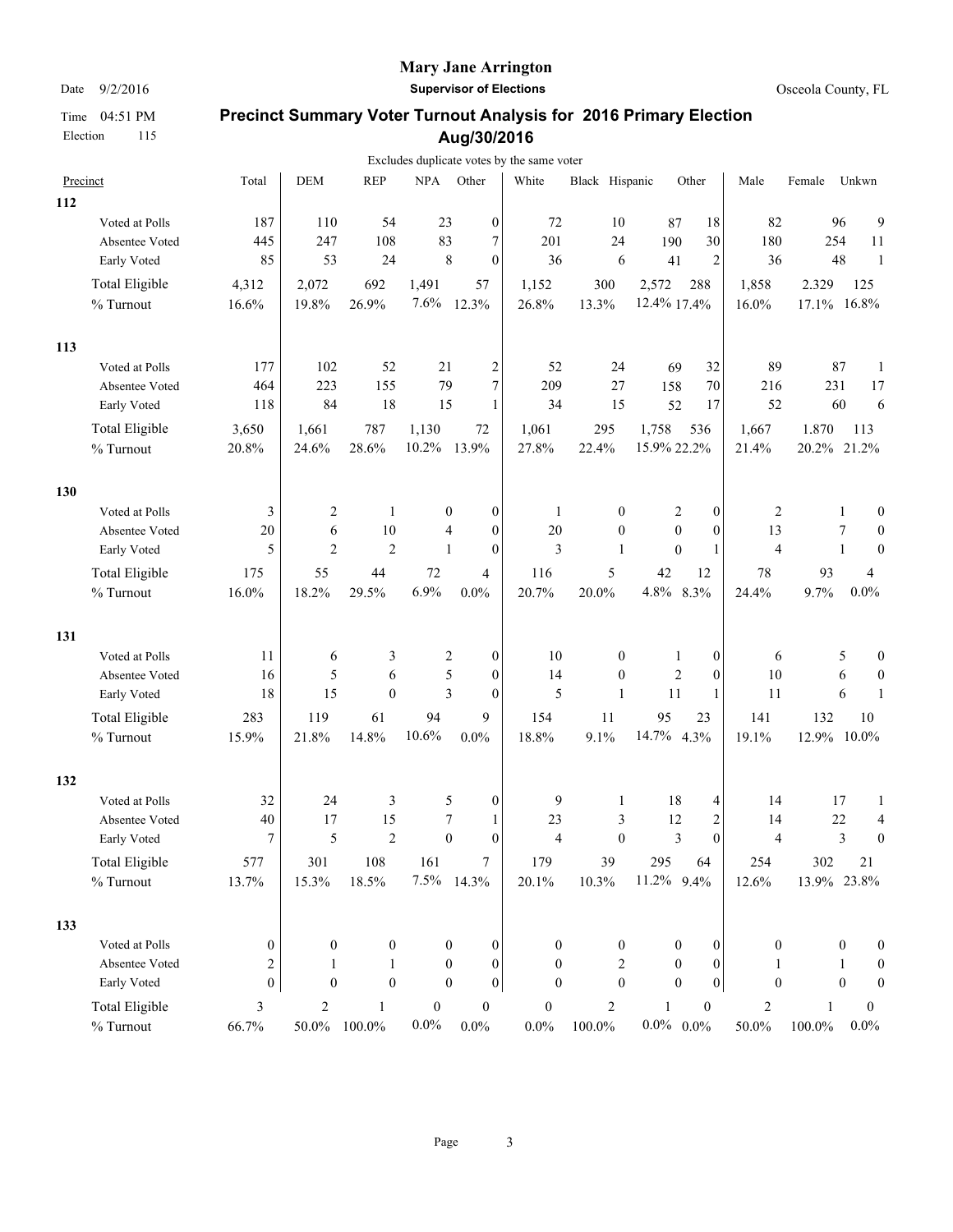#### **Mary Jane Arrington**

Date  $9/2/2016$  **Supervisor of Elections Supervisor of Elections Osceola County, FL** 

|     |                               |                |                |                  |                  |                                      | Excludes duplicate votes by the same voter |                  |                  |                  |                  |             |                  |                  |
|-----|-------------------------------|----------------|----------------|------------------|------------------|--------------------------------------|--------------------------------------------|------------------|------------------|------------------|------------------|-------------|------------------|------------------|
|     | Precinct                      | Total          | <b>DEM</b>     | <b>REP</b>       | <b>NPA</b>       | Other                                | White                                      | Black Hispanic   |                  | Other            | Male             | Female      | Unkwn            |                  |
| 112 |                               |                |                |                  |                  |                                      |                                            |                  |                  |                  |                  |             |                  |                  |
|     | Voted at Polls                | 187<br>445     | 110<br>247     | 54<br>108        | 23<br>83         | $\boldsymbol{0}$<br>7                | 72<br>201                                  | 10<br>24         | 87<br>190        | 18<br>30         | 82<br>180        |             | 96<br>254        | 9<br>$11\,$      |
|     | Absentee Voted<br>Early Voted | 85             | 53             | 24               |                  | 8<br>$\mathbf{0}$                    | 36                                         | 6                | 41               | $\overline{2}$   | 36               |             | 48               | 1                |
|     | Total Eligible                | 4,312          | 2,072          | 692              | 1,491            | 57                                   | 1,152                                      | 300              | 2,572            | 288              | 1,858            | 2.329       |                  | 125              |
|     | % Turnout                     | 16.6%          | 19.8%          | 26.9%            | 7.6%             | 12.3%                                | 26.8%                                      | 13.3%            | 12.4% 17.4%      |                  | 16.0%            | 17.1% 16.8% |                  |                  |
| 113 |                               |                |                |                  |                  |                                      |                                            |                  |                  |                  |                  |             |                  |                  |
|     | Voted at Polls                | 177            | 102            | 52               | 21               | $\overline{c}$                       | 52                                         | 24               | 69               | 32               | 89               |             | 87               | $\mathbf{1}$     |
|     | Absentee Voted                | 464            | 223            | 155              | 79               | 7                                    | 209                                        | 27               | 158              | 70               | 216              | 231         |                  | 17               |
|     | Early Voted                   | 118            | 84             | 18               | 15               | $\mathbf{1}$                         | 34                                         | 15               | 52               | 17               | 52               |             | 60               | 6                |
|     | Total Eligible                | 3,650          | 1,661          | 787              | 1,130            | 72                                   | 1,061                                      | 295              | 1,758            | 536              | 1,667            | 1,870       |                  | 113              |
|     | % Turnout                     | 20.8%          | 24.6%          | 28.6%            | 10.2%            | 13.9%                                | 27.8%                                      | 22.4%            | 15.9% 22.2%      |                  | 21.4%            | 20.2% 21.2% |                  |                  |
| 130 |                               |                |                |                  |                  |                                      |                                            |                  |                  |                  |                  |             |                  |                  |
|     | Voted at Polls                | 3              | 2              | $\mathbf{1}$     |                  | 0<br>0                               | $\mathbf{1}$                               | $\boldsymbol{0}$ | 2                | $\boldsymbol{0}$ | 2                |             | 1                | $\boldsymbol{0}$ |
|     | Absentee Voted                | 20             | 6              | 10               |                  | $\mathbf{0}$<br>4                    | 20                                         | $\mathbf{0}$     | $\mathbf{0}$     | $\mathbf{0}$     | 13               |             | 7                | $\boldsymbol{0}$ |
|     | Early Voted                   | 5              | $\overline{2}$ | $\overline{2}$   |                  | $\mathbf{1}$<br>$\mathbf{0}$         | $\mathfrak{Z}$                             | 1                | $\mathbf{0}$     | $\mathbf{1}$     | $\overline{4}$   |             | $\mathbf{1}$     | $\boldsymbol{0}$ |
|     | Total Eligible                | 175            | 55             | 44               | 72               | 4                                    | 116                                        | 5                | 42               | 12               | 78               | 93          |                  | $\overline{4}$   |
|     | % Turnout                     | 16.0%          | 18.2%          | 29.5%            | 6.9%             | 0.0%                                 | 20.7%                                      | 20.0%            | 4.8% 8.3%        |                  | 24.4%            | 9.7%        |                  | $0.0\%$          |
| 131 |                               |                |                |                  |                  |                                      |                                            |                  |                  |                  |                  |             |                  |                  |
|     | Voted at Polls                | 11             | 6              | 3                |                  | 2<br>0                               | 10                                         | $\boldsymbol{0}$ | 1                | $\boldsymbol{0}$ | 6                |             | 5                | $\boldsymbol{0}$ |
|     | Absentee Voted                | 16             | 5              | 6                |                  | 5<br>$\mathbf{0}$                    | 14                                         | $\mathbf{0}$     | $\overline{2}$   | $\mathbf{0}$     | 10               |             | 6                | $\boldsymbol{0}$ |
|     | Early Voted                   | 18             | 15             | $\mathbf{0}$     |                  | 3<br>$\theta$                        | 5                                          | $\mathbf{1}$     | 11               | $\mathbf{1}$     | 11               |             | 6                | 1                |
|     | Total Eligible                | 283            | 119            | 61               | 94               | 9                                    | 154                                        | 11               | 95               | 23               | 141              | 132         |                  | 10               |
|     | % Turnout                     | 15.9%          | 21.8%          | 14.8%            | 10.6%            | 0.0%                                 | 18.8%                                      | 9.1%             | 14.7% 4.3%       |                  | 19.1%            | 12.9% 10.0% |                  |                  |
| 132 |                               |                |                |                  |                  |                                      |                                            |                  |                  |                  |                  |             |                  |                  |
|     | Voted at Polls                | 32             | 24             | 3                |                  | 5<br>0                               | 9                                          | 1                | 18               | 4                | 14               |             | 17               | 1                |
|     | Absentee Voted                | 40             | 17             | 15               |                  | 7<br>1                               | 23                                         | 3                | 12               | $\sqrt{2}$       | 14               |             | 22               | 4                |
|     | Early Voted                   | 7              | 5              | $\overline{2}$   |                  | $\theta$<br>$\theta$                 | $\overline{4}$                             | $\mathbf{0}$     | 3                | $\theta$         | $\overline{4}$   |             | 3                | $\boldsymbol{0}$ |
|     | <b>Total Eligible</b>         | 577            | 301            | 108              | 161              | 7                                    | 179                                        | 39               | 295              | 64               | 254              | 302         |                  | 21               |
|     | $\%$ Turnout                  | 13.7%          | 15.3%          | 18.5%            | 7.5%             | 14.3%                                | 20.1%                                      | 10.3%            | 11.2%            | 9.4%             | 12.6%            | 13.9% 23.8% |                  |                  |
| 133 |                               |                |                |                  |                  |                                      |                                            |                  |                  |                  |                  |             |                  |                  |
|     | Voted at Polls                | 0              | $\mathbf{0}$   | $\boldsymbol{0}$ |                  | $\boldsymbol{0}$<br>0                | $\boldsymbol{0}$                           | $\boldsymbol{0}$ | $\boldsymbol{0}$ | $\boldsymbol{0}$ | $\boldsymbol{0}$ |             | $\mathbf{0}$     | $\boldsymbol{0}$ |
|     | Absentee Voted                | 2              | 1              | 1                |                  | $\boldsymbol{0}$<br>0                | $\boldsymbol{0}$                           | 2                | $\boldsymbol{0}$ | $\boldsymbol{0}$ | 1                |             | 1                | $\boldsymbol{0}$ |
|     | Early Voted                   | $\overline{0}$ | $\mathbf{0}$   | $\boldsymbol{0}$ |                  | $\boldsymbol{0}$<br>$\boldsymbol{0}$ | $\boldsymbol{0}$                           | $\boldsymbol{0}$ | $\mathbf{0}$     | $\boldsymbol{0}$ | $\boldsymbol{0}$ |             | $\boldsymbol{0}$ | $\boldsymbol{0}$ |
|     | Total Eligible                | $\mathfrak{Z}$ | $\sqrt{2}$     | 1                | $\boldsymbol{0}$ | $\boldsymbol{0}$                     | $\boldsymbol{0}$                           | $\overline{c}$   | 1                | $\boldsymbol{0}$ | $\overline{c}$   | 1           |                  | $\boldsymbol{0}$ |
|     | % Turnout                     | 66.7%          | 50.0%          | 100.0%           | $0.0\%$          | $0.0\%$                              | $0.0\%$                                    | 100.0%           | $0.0\%$ 0.0%     |                  | $50.0\%$         | 100.0%      |                  | $0.0\%$          |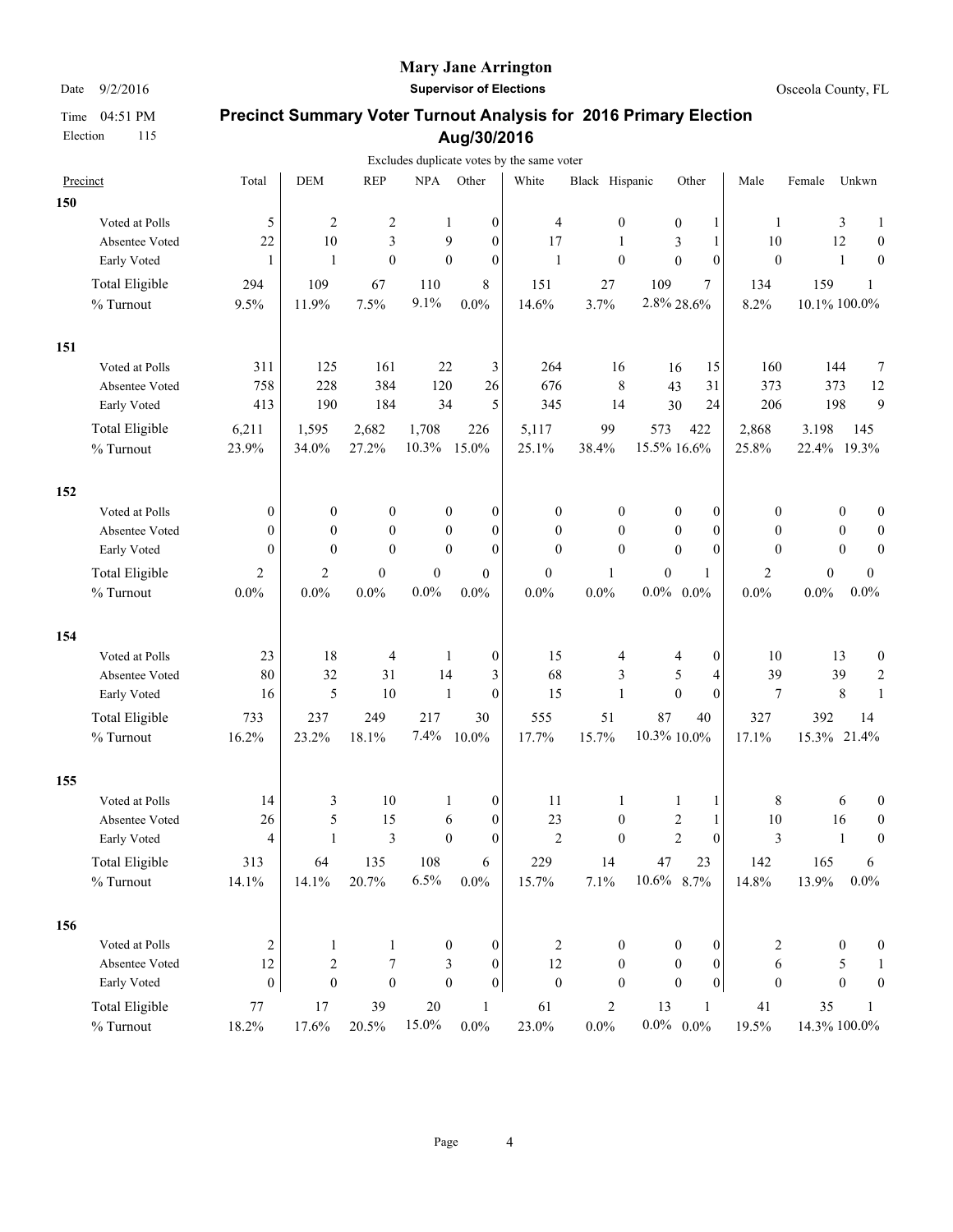Election 115

#### **Mary Jane Arrington**

Date  $9/2/2016$  **Supervisor of Elections Supervisor of Elections Osceola County, FL** 

|     |                       |                  |                  |                  |                  |                  | Excludes duplicate votes by the same voter |                  |                      |                  |                |                  |                  |                  |
|-----|-----------------------|------------------|------------------|------------------|------------------|------------------|--------------------------------------------|------------------|----------------------|------------------|----------------|------------------|------------------|------------------|
|     | Precinct              | Total            | <b>DEM</b>       | <b>REP</b>       | $\rm NPA$        | Other            | White                                      | Black Hispanic   |                      | Other            | Male           | Female           | Unkwn            |                  |
| 150 |                       |                  |                  |                  |                  |                  |                                            |                  |                      |                  |                |                  |                  |                  |
|     | Voted at Polls        | 5                | $\overline{2}$   | $\overline{c}$   | 1                | $\boldsymbol{0}$ | $\overline{4}$                             | $\boldsymbol{0}$ | $\boldsymbol{0}$     | $\mathbf{1}$     | 1              |                  | 3                | 1                |
|     | Absentee Voted        | 22               | $10\,$           | 3                | 9                | $\mathbf{0}$     | 17                                         | $\mathbf{1}$     | 3                    | 1                | 10             |                  | 12               | $\boldsymbol{0}$ |
|     | Early Voted           | $\mathbf{1}$     | $\mathbf{1}$     | $\mathbf{0}$     | $\mathbf{0}$     | $\mathbf{0}$     | $\mathbf{1}$                               | $\mathbf{0}$     | $\boldsymbol{0}$     | $\theta$         | $\theta$       |                  | 1                | $\mathbf{0}$     |
|     | Total Eligible        | 294              | 109              | 67               | 110              | 8                | 151                                        | 27               | 109                  | 7                | 134            | 159              |                  | 1                |
|     | % Turnout             | 9.5%             | 11.9%            | 7.5%             | 9.1%             | 0.0%             | 14.6%                                      | 3.7%             | 2.8% 28.6%           |                  | 8.2%           | $10.1\%$ 100.0%  |                  |                  |
| 151 |                       |                  |                  |                  |                  |                  |                                            |                  |                      |                  |                |                  |                  |                  |
|     | Voted at Polls        | 311              | 125              | 161              | 22               | 3                | 264                                        | 16               | 16                   | 15               | 160            |                  | 144              | 7                |
|     | Absentee Voted        | 758              | 228              | 384              | 120              | 26               | 676                                        | 8                | 43                   | 31               | 373            |                  | 373              | 12               |
|     | Early Voted           | 413              | 190              | 184              | 34               | 5                | 345                                        | 14               | 30                   | 24               | 206            |                  | 198              | 9                |
|     | Total Eligible        | 6,211            | 1,595            | 2,682            | 1,708            | 226              | 5,117                                      | 99               | 573                  | 422              | 2,868          | 3.198            |                  | 145              |
|     | % Turnout             | 23.9%            | 34.0%            | 27.2%            | 10.3%            | 15.0%            | 25.1%                                      | 38.4%            | 15.5% 16.6%          |                  | 25.8%          | 22.4% 19.3%      |                  |                  |
| 152 |                       |                  |                  |                  |                  |                  |                                            |                  |                      |                  |                |                  |                  |                  |
|     | Voted at Polls        | $\mathbf{0}$     | $\boldsymbol{0}$ | $\boldsymbol{0}$ | $\boldsymbol{0}$ | $\boldsymbol{0}$ | $\boldsymbol{0}$                           | 0                | 0                    | $\boldsymbol{0}$ | 0              |                  | $\bf{0}$         | $\boldsymbol{0}$ |
|     | Absentee Voted        | $\theta$         | $\mathbf{0}$     | $\mathbf{0}$     | $\mathbf{0}$     | $\mathbf{0}$     | $\mathbf{0}$                               | $\mathbf{0}$     | $\mathbf{0}$         | $\mathbf{0}$     | $\mathbf{0}$   |                  | $\mathbf{0}$     | $\mathbf{0}$     |
|     | Early Voted           | $\mathbf{0}$     | $\mathbf{0}$     | $\theta$         | $\mathbf{0}$     | $\mathbf{0}$     | $\mathbf{0}$                               | $\mathbf{0}$     | $\mathbf{0}$         | $\theta$         | $\mathbf{0}$   |                  | $\boldsymbol{0}$ | $\boldsymbol{0}$ |
|     | <b>Total Eligible</b> | $\overline{c}$   | 2                | $\boldsymbol{0}$ | $\boldsymbol{0}$ | $\overline{0}$   | $\boldsymbol{0}$                           | 1                | $\boldsymbol{0}$     | 1                | $\overline{2}$ | $\boldsymbol{0}$ |                  | $\mathbf{0}$     |
|     | % Turnout             | $0.0\%$          | $0.0\%$          | $0.0\%$          | $0.0\%$          | 0.0%             | 0.0%                                       | 0.0%             | $0.0\%$ 0.0%         |                  | $0.0\%$        | 0.0%             |                  | $0.0\%$          |
| 154 |                       |                  |                  |                  |                  |                  |                                            |                  |                      |                  |                |                  |                  |                  |
|     | Voted at Polls        | 23               | 18               | 4                | 1                | $\boldsymbol{0}$ | 15                                         | 4                | 4                    | $\mathbf{0}$     | 10             |                  | 13               | $\boldsymbol{0}$ |
|     | Absentee Voted        | 80               | 32               | 31               | 14               | 3                | 68                                         | 3                | 5                    | 4                | 39             |                  | 39               | $\sqrt{2}$       |
|     | Early Voted           | 16               | 5                | 10               | $\mathbf{1}$     | $\boldsymbol{0}$ | 15                                         | $\mathbf{1}$     | $\mathbf{0}$         | $\theta$         | 7              |                  | $\,$ 8 $\,$      | 1                |
|     | <b>Total Eligible</b> | 733              | 237              | 249              | 217              | 30               | 555                                        | 51               | 87                   | 40               | 327            | 392              |                  | 14               |
|     | % Turnout             | 16.2%            | 23.2%            | 18.1%            | 7.4%             | 10.0%            | 17.7%                                      | 15.7%            | 10.3% 10.0%          |                  | 17.1%          | 15.3% 21.4%      |                  |                  |
| 155 |                       |                  |                  |                  |                  |                  |                                            |                  |                      |                  |                |                  |                  |                  |
|     | Voted at Polls        | 14               | 3                | 10               | 1                | $\boldsymbol{0}$ | 11                                         | 1                | 1                    | 1                | 8              |                  | 6                | $\boldsymbol{0}$ |
|     | Absentee Voted        | 26               | 5                | 15               | 6                | $\boldsymbol{0}$ | 23                                         | $\boldsymbol{0}$ | $\boldsymbol{2}$     | $\mathbf{1}$     | 10             |                  | 16               | $\boldsymbol{0}$ |
|     | Early Voted           | $\overline{4}$   | $\mathbf{1}$     | $\mathfrak{Z}$   | $\mathbf{0}$     | $\theta$         | $\overline{2}$                             | $\mathbf{0}$     | $\overline{2}$       | $\theta$         | 3              |                  | 1                | $\boldsymbol{0}$ |
|     | <b>Total Eligible</b> | 313              | 64               | 135              | 108              | 6                | 229                                        | 14               | 47                   | 23               | 142            | 165              |                  | 6                |
|     | $\%$ Turnout          | 14.1%            | 14.1%            | 20.7%            | 6.5%             | $0.0\%$          | 15.7%                                      | 7.1%             | $10.6\%$ 8.7%        |                  | 14.8%          | 13.9%            |                  | $0.0\%$          |
| 156 |                       |                  |                  |                  |                  |                  |                                            |                  |                      |                  |                |                  |                  |                  |
|     | Voted at Polls        | 2                | 1                | 1                | $\boldsymbol{0}$ | $\boldsymbol{0}$ | $\sqrt{2}$                                 | $\boldsymbol{0}$ | $\boldsymbol{0}$     | $\boldsymbol{0}$ | 2              |                  | $\mathbf{0}$     | $\boldsymbol{0}$ |
|     | Absentee Voted        | 12               | $\sqrt{2}$       | $\boldsymbol{7}$ | 3                | $\boldsymbol{0}$ | 12                                         | $\boldsymbol{0}$ | $\boldsymbol{0}$     | $\mathbf{0}$     | 6              |                  | 5                | 1                |
|     | Early Voted           | $\boldsymbol{0}$ | $\boldsymbol{0}$ | $\boldsymbol{0}$ | $\boldsymbol{0}$ | $\boldsymbol{0}$ | $\boldsymbol{0}$                           | $\boldsymbol{0}$ | $\mathbf{0}$         | 0                | $\mathbf{0}$   |                  | $\boldsymbol{0}$ | $\boldsymbol{0}$ |
|     | Total Eligible        | $77 \,$          | 17               | 39               | $20\,$           | $\mathbf{1}$     | 61                                         | $\overline{c}$   | 13                   | $\mathbf{1}$     | 41             | 35               |                  | 1                |
|     | $\%$ Turnout          | 18.2%            | 17.6%            | 20.5%            | 15.0%            | $0.0\%$          | 23.0%                                      | $0.0\%$          | $0.0\%$ $\,$ $0.0\%$ |                  | 19.5%          | 14.3% 100.0%     |                  |                  |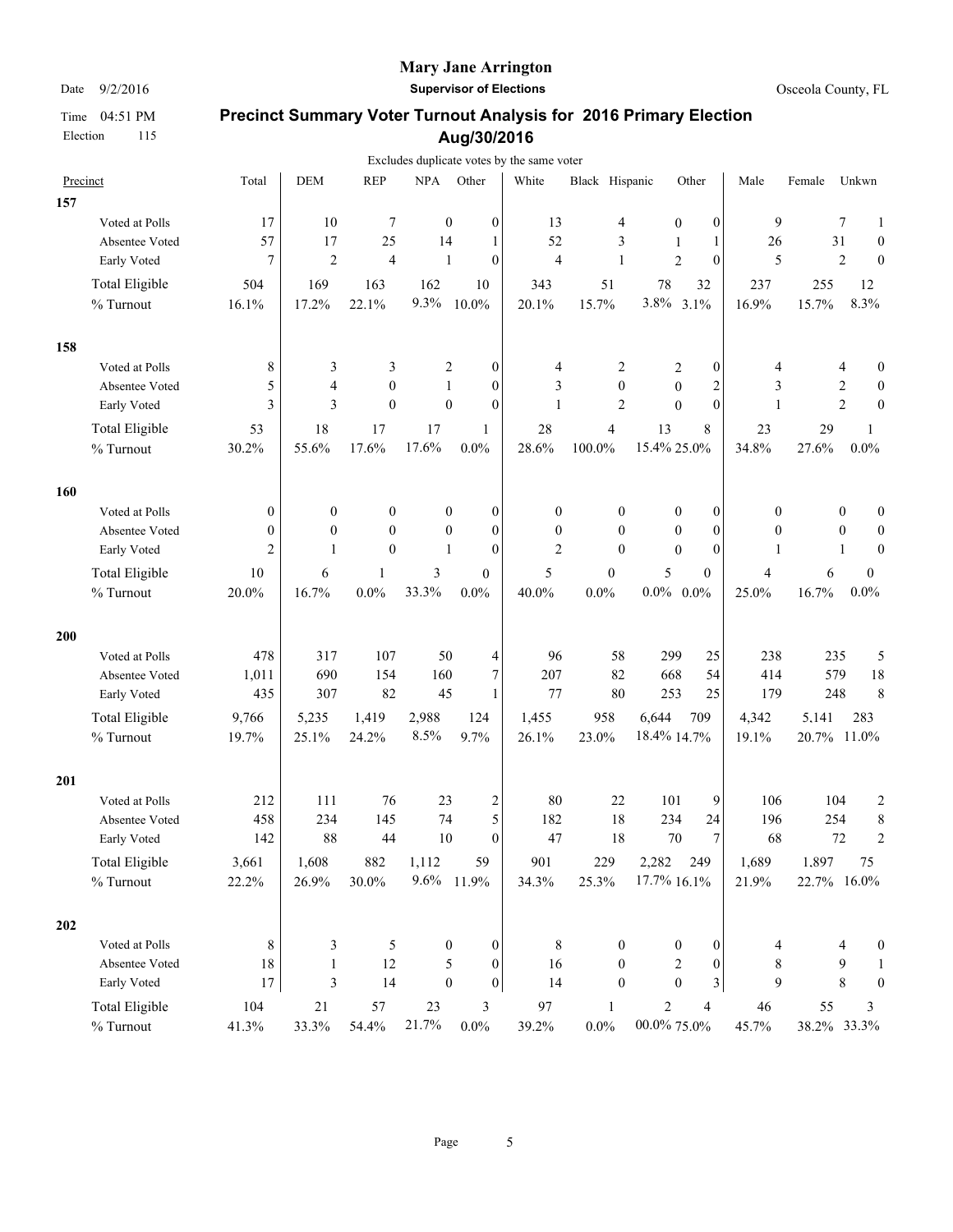Election 115

### **Mary Jane Arrington**

Date  $9/2/2016$  **Supervisor of Elections Supervisor of Elections Osceola County, FL** 

|     |                       |                  |                         |                  |                  |                                      | Excludes duplicate votes by the same voter |                  |                         |                  |              |             |                  |                         |
|-----|-----------------------|------------------|-------------------------|------------------|------------------|--------------------------------------|--------------------------------------------|------------------|-------------------------|------------------|--------------|-------------|------------------|-------------------------|
|     | Precinct              | Total            | <b>DEM</b>              | <b>REP</b>       | <b>NPA</b>       | Other                                | White                                      | Black Hispanic   |                         | Other            | Male         | Female      | Unkwn            |                         |
| 157 |                       |                  |                         |                  |                  |                                      |                                            |                  |                         |                  |              |             |                  |                         |
|     | Voted at Polls        | 17               | 10                      | 7                | $\boldsymbol{0}$ | $\boldsymbol{0}$                     | 13                                         | 4                | $\boldsymbol{0}$        | $\boldsymbol{0}$ | 9            |             | 7                | 1                       |
|     | Absentee Voted        | 57               | 17                      | 25               | 14               | 1                                    | 52                                         | 3                | 1                       | 1                | 26           |             | 31               | $\boldsymbol{0}$        |
|     | Early Voted           | $\overline{7}$   | $\overline{2}$          | $\overline{4}$   | $\mathbf{1}$     | $\mathbf{0}$                         | $\overline{4}$                             | $\mathbf{1}$     | $\overline{2}$          | $\mathbf{0}$     | 5            |             | $\overline{2}$   | $\theta$                |
|     | <b>Total Eligible</b> | 504              | 169                     | 163              | 162              | 10                                   | 343                                        | 51               | 78                      | 32               | 237          | 255         |                  | 12                      |
|     | % Turnout             | 16.1%            | 17.2%                   | 22.1%            | 9.3%             | 10.0%                                | 20.1%                                      | 15.7%            | 3.8%                    | 3.1%             | 16.9%        | 15.7%       |                  | 8.3%                    |
| 158 |                       |                  |                         |                  |                  |                                      |                                            |                  |                         |                  |              |             |                  |                         |
|     | Voted at Polls        | 8                | 3                       | 3                |                  | 2<br>$\mathbf{0}$                    | 4                                          | 2                | 2                       | 0                | 4            |             | 4                | 0                       |
|     | Absentee Voted        | 5                | 4                       | $\theta$         | 1                | $\mathbf{0}$                         | 3                                          | $\mathbf{0}$     | $\boldsymbol{0}$        | $\overline{c}$   | 3            |             | 2                | $\boldsymbol{0}$        |
|     | Early Voted           | 3                | 3                       | $\theta$         | $\boldsymbol{0}$ | $\theta$                             | 1                                          | $\overline{2}$   | $\theta$                | $\theta$         | 1            |             | $\overline{c}$   | $\mathbf{0}$            |
|     | Total Eligible        | 53               | 18                      | 17               | 17               | $\mathbf{1}$                         | 28                                         | 4                | 13                      | 8                | 23           | 29          |                  | 1                       |
|     | % Turnout             | 30.2%            | 55.6%                   | 17.6%            | 17.6%            | 0.0%                                 | 28.6%                                      | $100.0\%$        | 15.4% 25.0%             |                  | 34.8%        | 27.6%       |                  | $0.0\%$                 |
| 160 |                       |                  |                         |                  |                  |                                      |                                            |                  |                         |                  |              |             |                  |                         |
|     | Voted at Polls        | $\boldsymbol{0}$ | $\boldsymbol{0}$        | $\boldsymbol{0}$ |                  | $\boldsymbol{0}$<br>$\boldsymbol{0}$ | $\boldsymbol{0}$                           | $\boldsymbol{0}$ | 0                       | $\boldsymbol{0}$ | 0            |             | $\boldsymbol{0}$ | $\mathbf{0}$            |
|     | Absentee Voted        | $\mathbf{0}$     | $\mathbf{0}$            | $\theta$         |                  | $\mathbf{0}$<br>$\mathbf{0}$         | $\mathbf{0}$                               | $\mathbf{0}$     | $\theta$                | $\mathbf{0}$     | $\mathbf{0}$ |             | $\mathbf{0}$     | $\theta$                |
|     | Early Voted           | 2                | 1                       | $\theta$         | $\mathbf{1}$     | $\theta$                             | $\mathfrak{2}$                             | $\mathbf{0}$     | $\theta$                | $\mathbf{0}$     | 1            |             | 1                | $\theta$                |
|     | <b>Total Eligible</b> | 10               | 6                       | $\mathbf{1}$     | 3                | $\overline{0}$                       | 5                                          | $\boldsymbol{0}$ | 5                       | $\mathbf{0}$     | 4            | 6           |                  | $\boldsymbol{0}$        |
|     | % Turnout             | 20.0%            | 16.7%                   | $0.0\%$          | 33.3%            | $0.0\%$                              | 40.0%                                      | $0.0\%$          | $0.0\%$ 0.0%            |                  | 25.0%        | 16.7%       |                  | 0.0%                    |
| 200 |                       |                  |                         |                  |                  |                                      |                                            |                  |                         |                  |              |             |                  |                         |
|     | Voted at Polls        | 478              | 317                     | 107              | 50               | 4                                    | 96                                         | 58               | 299                     | 25               | 238          |             | 235              | 5                       |
|     | Absentee Voted        | 1,011            | 690                     | 154              | 160              | 7                                    | 207                                        | 82               | 668                     | 54               | 414          |             | 579              | 18                      |
|     | Early Voted           | 435              | 307                     | 82               | 45               | 1                                    | 77                                         | 80               | 253                     | 25               | 179          |             | 248              | 8                       |
|     | <b>Total Eligible</b> | 9,766            | 5,235                   | 1,419            | 2,988            | 124                                  | 1,455                                      | 958              | 6,644                   | 709              | 4,342        | 5.141       |                  | 283                     |
|     | % Turnout             | 19.7%            | 25.1%                   | 24.2%            | 8.5%             | 9.7%                                 | 26.1%                                      | 23.0%            | 18.4% 14.7%             |                  | 19.1%        | 20.7% 11.0% |                  |                         |
| 201 |                       |                  |                         |                  |                  |                                      |                                            |                  |                         |                  |              |             |                  |                         |
|     | Voted at Polls        | 212              | 111                     | 76               | 23               | $\overline{\mathbf{c}}$              | 80                                         | 22               | 101                     | 9                | 106          |             | 104              | $\overline{\mathbf{c}}$ |
|     | Absentee Voted        | 458              | 234                     | 145              | 74               | 5                                    | 182                                        | 18               | 234                     | 24               | 196          |             | 254              | 8                       |
|     | Early Voted           | 142              | 88                      | 44               | 10               | $\mathbf{0}$                         | 47                                         | 18               | 70                      | $\overline{7}$   | 68           |             | 72               | $\overline{c}$          |
|     | <b>Total Eligible</b> | 3,661            | 1,608                   | 882              | 1,112            | 59                                   | 901                                        | 229              | 2,282                   | 249              | 1,689        | 1.897       |                  | 75                      |
|     | $\%$ Turnout          | 22.2%            | 26.9%                   | 30.0%            | 9.6%             | 11.9%                                | 34.3%                                      | 25.3%            | 17.7% 16.1%             |                  | 21.9%        | 22.7% 16.0% |                  |                         |
| 202 |                       |                  |                         |                  |                  |                                      |                                            |                  |                         |                  |              |             |                  |                         |
|     | Voted at Polls        | 8                | 3                       | 5                |                  | $\boldsymbol{0}$<br>0                | 8                                          | $\boldsymbol{0}$ | $\boldsymbol{0}$        | $\boldsymbol{0}$ | 4            |             | 4                | $\boldsymbol{0}$        |
|     | Absentee Voted        | 18               | 1                       | 12               |                  | 5<br>0                               | 16                                         | $\boldsymbol{0}$ | 2                       | $\boldsymbol{0}$ | 8            |             | 9                | 1                       |
|     | Early Voted           | $17\,$           | $\overline{\mathbf{3}}$ | 14               | $\boldsymbol{0}$ | $\boldsymbol{0}$                     | 14                                         | $\mathbf{0}$     | $\mathbf{0}$            | 3                | 9            |             | 8                | $\mathbf{0}$            |
|     | Total Eligible        | 104              | 21                      | 57               | 23               | 3                                    | 97                                         | 1                | $\overline{\mathbf{c}}$ | $\overline{4}$   | 46           | 55          |                  | 3                       |
|     | $\%$ Turnout          | 41.3%            | 33.3%                   | 54.4%            | 21.7%            | $0.0\%$                              | 39.2%                                      | $0.0\%$          | 00.0% 75.0%             |                  | 45.7%        | 38.2% 33.3% |                  |                         |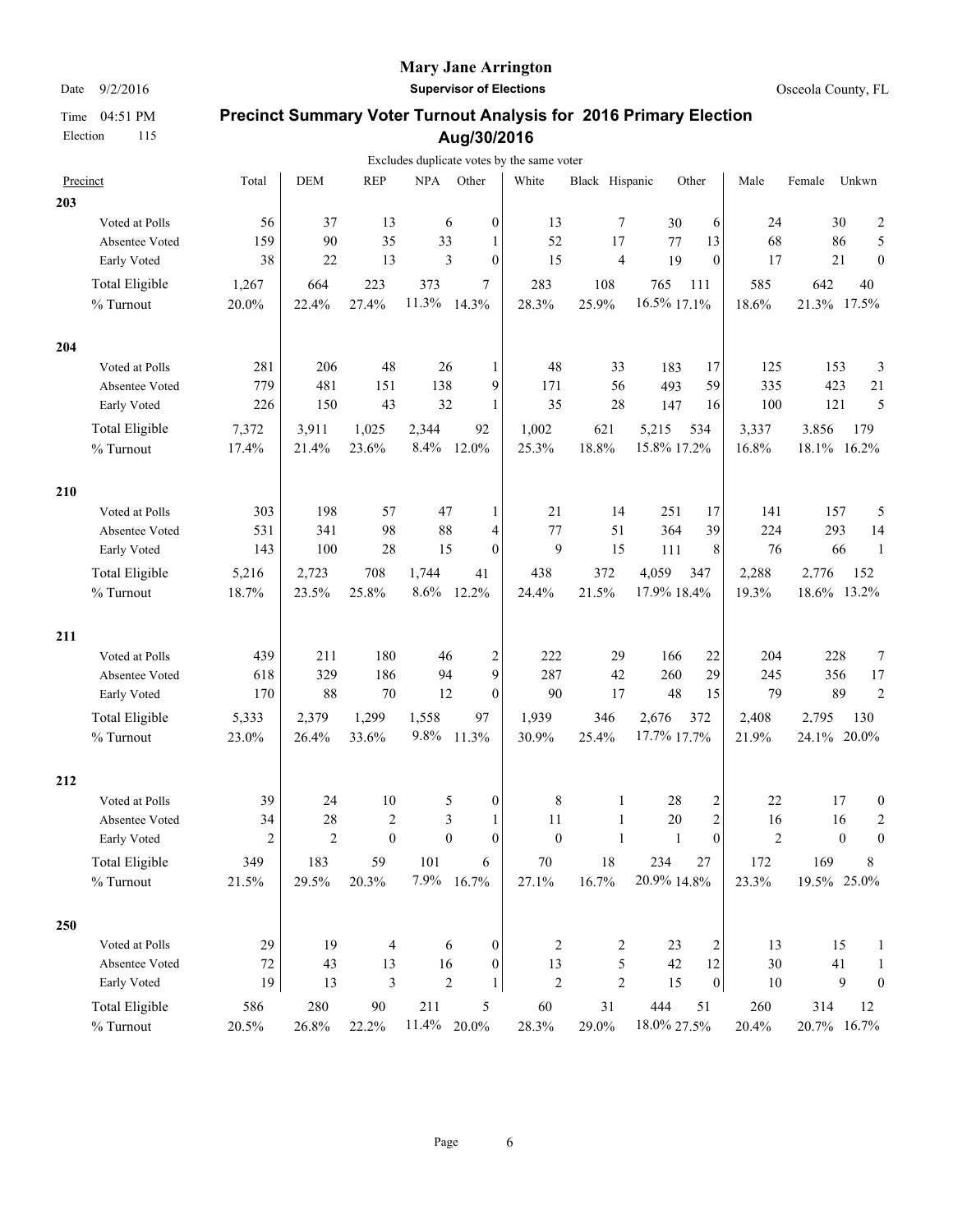### **Mary Jane Arrington**

Date  $9/2/2016$  **Supervisor of Elections Supervisor of Elections Osceola County, FL** 

|     |                       |                |                |              |             |                                | Excludes duplicate votes by the same voter |                |             |                |                |             |                  |                  |
|-----|-----------------------|----------------|----------------|--------------|-------------|--------------------------------|--------------------------------------------|----------------|-------------|----------------|----------------|-------------|------------------|------------------|
|     | Precinct              | Total          | <b>DEM</b>     | <b>REP</b>   | <b>NPA</b>  | Other                          | White                                      | Black Hispanic |             | Other          | Male           | Female      | Unkwn            |                  |
| 203 |                       |                |                |              |             |                                |                                            |                |             |                |                |             |                  |                  |
|     | Voted at Polls        | 56             | 37             | 13           |             | 6<br>$\boldsymbol{0}$          | 13                                         | 7              | 30          | 6              | 24             |             | 30               | $\overline{c}$   |
|     | Absentee Voted        | 159            | 90             | 35           | 33          | 1                              | 52                                         | 17             | 77          | 13             | 68             |             | 86               | 5                |
|     | Early Voted           | 38             | 22             | 13           |             | $\mathfrak{Z}$<br>$\mathbf{0}$ | 15                                         | $\overline{4}$ | 19          | $\theta$       | 17             |             | 21               | $\mathbf{0}$     |
|     | Total Eligible        | 1,267          | 664            | 223          | 373         | 7                              | 283                                        | 108            | 765         | 111            | 585            | 642         |                  | 40               |
|     | $\%$ Turnout          | 20.0%          | 22.4%          | 27.4%        | 11.3%       | 14.3%                          | 28.3%                                      | 25.9%          | 16.5% 17.1% |                | 18.6%          | 21.3% 17.5% |                  |                  |
| 204 |                       |                |                |              |             |                                |                                            |                |             |                |                |             |                  |                  |
|     | Voted at Polls        | 281            | 206            | 48           | 26          | 1                              | 48                                         | 33             | 183         | 17             | 125            | 153         |                  | 3                |
|     | Absentee Voted        | 779            | 481            | 151          | 138         | 9                              | 171                                        | 56             | 493         | 59             | 335            | 423         |                  | 21               |
|     | Early Voted           | 226            | 150            | 43           | 32          | 1                              | 35                                         | 28             | 147         | 16             | 100            | 121         |                  | 5                |
|     | <b>Total Eligible</b> | 7,372          | 3,911          | 1,025        | 2,344       | 92                             | 1,002                                      | 621            | 5,215       | 534            | 3,337          | 3,856       |                  | 179              |
|     | % Turnout             | 17.4%          | 21.4%          | 23.6%        | 8.4%        | 12.0%                          | 25.3%                                      | 18.8%          | 15.8% 17.2% |                | 16.8%          | 18.1% 16.2% |                  |                  |
| 210 |                       |                |                |              |             |                                |                                            |                |             |                |                |             |                  |                  |
|     | Voted at Polls        | 303            | 198            | 57           | 47          | 1                              | 21                                         | 14             | 251         | 17             | 141            | 157         |                  | 5                |
|     | Absentee Voted        | 531            | 341            | 98           | 88          | 4                              | 77                                         | 51             | 364         | 39             | 224            | 293         |                  | 14               |
|     | Early Voted           | 143            | 100            | 28           | 15          | $\overline{0}$                 | 9                                          | 15             | 111         | 8              | 76             |             | 66               | -1               |
|     | <b>Total Eligible</b> | 5,216          | 2,723          | 708          | 1,744       | 41                             | 438                                        | 372            | 4,059       | 347            | 2,288          | 2.776       |                  | 152              |
|     | % Turnout             | 18.7%          | 23.5%          | 25.8%        | 8.6%        | 12.2%                          | 24.4%                                      | 21.5%          | 17.9% 18.4% |                | 19.3%          | 18.6% 13.2% |                  |                  |
| 211 |                       |                |                |              |             |                                |                                            |                |             |                |                |             |                  |                  |
|     | Voted at Polls        | 439            | 211            | 180          | 46          | 2                              | 222                                        | 29             | 166         | 22             | 204            | 228         |                  | 7                |
|     | Absentee Voted        | 618            | 329            | 186          | 94          | 9                              | 287                                        | 42             | 260         | 29             | 245            | 356         |                  | 17               |
|     | Early Voted           | 170            | 88             | 70           | 12          | $\mathbf{0}$                   | 90                                         | 17             | 48          | 15             | 79             |             | 89               | $\overline{2}$   |
|     | <b>Total Eligible</b> | 5,333          | 2,379          | 1,299        | 1,558       | 97                             | 1,939                                      | 346            | 2,676       | 372            | 2,408          | 2.795       |                  | 130              |
|     | % Turnout             | 23.0%          | 26.4%          | 33.6%        | 9.8%        | 11.3%                          | 30.9%                                      | 25.4%          | 17.7% 17.7% |                | 21.9%          | 24.1% 20.0% |                  |                  |
| 212 |                       |                |                |              |             |                                |                                            |                |             |                |                |             |                  |                  |
|     | Voted at Polls        | 39             | 24             | $10\,$       |             | 5<br>$\boldsymbol{0}$          | $\,$ $\,$                                  | $\mathbf{1}$   | 28          | $\overline{c}$ | 22             |             | 17               | $\boldsymbol{0}$ |
|     | Absentee Voted        | 34             | 28             | $\sqrt{2}$   |             | $\mathfrak{Z}$<br>1            | 11                                         | 1              | 20          | $\overline{c}$ | 16             |             | 16               | $\overline{c}$   |
|     | Early Voted           | $\overline{c}$ | $\overline{2}$ | $\mathbf{0}$ |             | $\boldsymbol{0}$<br>$\theta$   | $\mathbf{0}$                               | $\mathbf{1}$   | 1           | $\theta$       | $\overline{2}$ |             | $\boldsymbol{0}$ | $\boldsymbol{0}$ |
|     | <b>Total Eligible</b> | 349            | 183            | 59           | 101         | 6                              | $70\,$                                     | 18             | 234         | 27             | 172            | 169         |                  | 8                |
|     | % Turnout             | 21.5%          | 29.5%          | 20.3%        | 7.9%        | 16.7%                          | 27.1%                                      | 16.7%          | 20.9% 14.8% |                | 23.3%          | 19.5% 25.0% |                  |                  |
| 250 |                       |                |                |              |             |                                |                                            |                |             |                |                |             |                  |                  |
|     | Voted at Polls        | 29             | 19             | 4            |             | 6<br>$\boldsymbol{0}$          | 2                                          | 2              | 23          | 2              | 13             |             | 15               | $\mathbf{1}$     |
|     | Absentee Voted        | 72             | 43             | 13           | 16          | 0                              | 13                                         | 5              | 42          | 12             | 30             |             | 41               | $\mathbf{1}$     |
|     | Early Voted           | 19             | 13             | $\sqrt{3}$   |             | $\overline{c}$<br>1            | $\sqrt{2}$                                 | $\overline{2}$ | 15          | 0              | $10\,$         |             | 9                | $\boldsymbol{0}$ |
|     | <b>Total Eligible</b> | 586            | 280            | 90           | 211         | 5                              | 60                                         | 31             | 444         | 51             | 260            | 314         |                  | 12               |
|     | % Turnout             | 20.5%          | 26.8%          | 22.2%        | 11.4% 20.0% |                                | 28.3%                                      | 29.0%          | 18.0% 27.5% |                | 20.4%          | 20.7% 16.7% |                  |                  |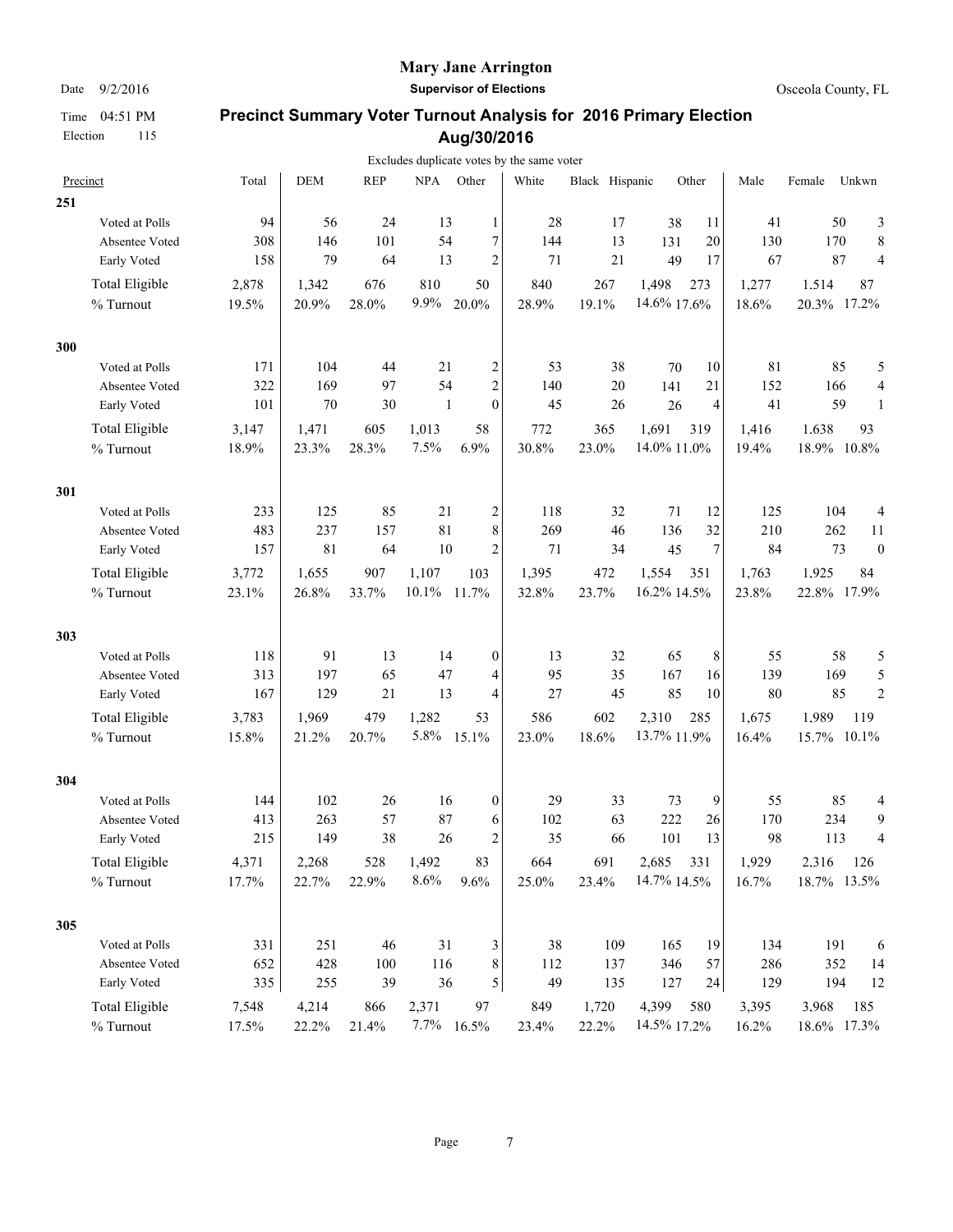### **Mary Jane Arrington**

Date  $9/2/2016$  **Supervisor of Elections Supervisor of Elections Osceola County, FL** 

|     |                       |       |            |            |              |                  | Excludes duplicate votes by the same voter |                |             |                  |       |             |       |                  |
|-----|-----------------------|-------|------------|------------|--------------|------------------|--------------------------------------------|----------------|-------------|------------------|-------|-------------|-------|------------------|
|     | Precinct              | Total | <b>DEM</b> | <b>REP</b> | <b>NPA</b>   | Other            | White                                      | Black Hispanic |             | Other            | Male  | Female      | Unkwn |                  |
| 251 |                       |       |            |            |              |                  |                                            |                |             |                  |       |             |       |                  |
|     | Voted at Polls        | 94    | 56         | 24         | 13           | 1                | 28                                         | 17             | 38          | 11               | 41    |             | 50    | 3                |
|     | Absentee Voted        | 308   | 146        | 101        | 54           | 7                | 144                                        | 13             | 131         | 20               | 130   | 170         |       | 8                |
|     | Early Voted           | 158   | 79         | 64         | 13           | $\overline{c}$   | 71                                         | 21             | 49          | 17               | 67    |             | 87    | 4                |
|     | <b>Total Eligible</b> | 2,878 | 1,342      | 676        | 810          | 50               | 840                                        | 267            | 1,498       | 273              | 1,277 | 1.514       |       | 87               |
|     | % Turnout             | 19.5% | 20.9%      | 28.0%      | 9.9%         | 20.0%            | 28.9%                                      | 19.1%          | 14.6% 17.6% |                  | 18.6% | 20.3% 17.2% |       |                  |
| 300 |                       |       |            |            |              |                  |                                            |                |             |                  |       |             |       |                  |
|     | Voted at Polls        | 171   | 104        | 44         | 21           | 2                | 53                                         | 38             | 70          | 10               | 81    |             | 85    | 5                |
|     | Absentee Voted        | 322   | 169        | 97         | 54           | $\overline{c}$   | 140                                        | 20             | 141         | 21               | 152   | 166         |       | $\overline{4}$   |
|     | Early Voted           | 101   | 70         | 30         | $\mathbf{1}$ | $\mathbf{0}$     | 45                                         | 26             | 26          | 4                | 41    |             | 59    | $\mathbf{1}$     |
|     | <b>Total Eligible</b> | 3,147 | 1,471      | 605        | 1,013        | 58               | 772                                        | 365            | 1,691       | 319              | 1,416 | 1.638       |       | 93               |
|     | % Turnout             | 18.9% | 23.3%      | 28.3%      | 7.5%         | 6.9%             | 30.8%                                      | 23.0%          | 14.0% 11.0% |                  | 19.4% | 18.9% 10.8% |       |                  |
| 301 |                       |       |            |            |              |                  |                                            |                |             |                  |       |             |       |                  |
|     | Voted at Polls        | 233   | 125        | 85         | 21           | 2                | 118                                        | 32             | 71          | 12               | 125   | 104         |       | 4                |
|     | Absentee Voted        | 483   | 237        | 157        | 81           | 8                | 269                                        | 46             | 136         | 32               | 210   | 262         |       | 11               |
|     | Early Voted           | 157   | 81         | 64         | 10           | $\overline{c}$   | 71                                         | 34             | 45          | $\boldsymbol{7}$ | 84    |             | 73    | $\boldsymbol{0}$ |
|     | <b>Total Eligible</b> | 3,772 | 1,655      | 907        | 1,107        | 103              | 1,395                                      | 472            | 1,554       | 351              | 1,763 | 1.925       |       | 84               |
|     | % Turnout             | 23.1% | 26.8%      | 33.7%      | 10.1%        | 11.7%            | 32.8%                                      | 23.7%          | 16.2% 14.5% |                  | 23.8% | 22.8% 17.9% |       |                  |
| 303 |                       |       |            |            |              |                  |                                            |                |             |                  |       |             |       |                  |
|     | Voted at Polls        | 118   | 91         | 13         | 14           | $\boldsymbol{0}$ | 13                                         | 32             | 65          | 8                | 55    |             | 58    | 5                |
|     | Absentee Voted        | 313   | 197        | 65         | 47           | 4                | 95                                         | 35             | 167         | 16               | 139   | 169         |       | 5                |
|     | Early Voted           | 167   | 129        | 21         | 13           | 4                | 27                                         | 45             | 85          | 10               | 80    |             | 85    | $\overline{2}$   |
|     | <b>Total Eligible</b> | 3,783 | 1,969      | 479        | 1,282        | 53               | 586                                        | 602            | 2,310       | 285              | 1,675 | 1.989       | 119   |                  |
|     | % Turnout             | 15.8% | 21.2%      | 20.7%      | 5.8%         | 15.1%            | 23.0%                                      | 18.6%          | 13.7% 11.9% |                  | 16.4% | 15.7% 10.1% |       |                  |
| 304 |                       |       |            |            |              |                  |                                            |                |             |                  |       |             |       |                  |
|     | Voted at Polls        | 144   | 102        | 26         | 16           | $\boldsymbol{0}$ | 29                                         | 33             | 73          | 9                | 55    |             | 85    | 4                |
|     | Absentee Voted        | 413   | 263        | 57         | 87           | 6                | 102                                        | 63             | 222         | 26               | 170   | 234         |       | 9                |
|     | Early Voted           | 215   | 149        | 38         | 26           | $\overline{c}$   | 35                                         | 66             | 101         | 13               | 98    | 113         |       | 4                |
|     | <b>Total Eligible</b> | 4,371 | 2,268      | 528        | 1,492        | 83               | 664                                        | 691            | 2,685       | 331              | 1,929 | 2.316       | 126   |                  |
|     | % Turnout             | 17.7% | 22.7%      | 22.9%      | 8.6%         | 9.6%             | 25.0%                                      | 23.4%          | 14.7% 14.5% |                  | 16.7% | 18.7% 13.5% |       |                  |
| 305 |                       |       |            |            |              |                  |                                            |                |             |                  |       |             |       |                  |
|     | Voted at Polls        | 331   | 251        | 46         | 31           | 3                | 38                                         | 109            | 165         | 19               | 134   | 191         |       | 6                |
|     | Absentee Voted        | 652   | 428        | 100        | 116          | $\,8\,$          | 112                                        | 137            | 346         | 57               | 286   | 352         |       | 14               |
|     | Early Voted           | 335   | 255        | 39         | 36           | 5                | 49                                         | 135            | 127         | 24               | 129   | 194         |       | 12               |
|     | <b>Total Eligible</b> | 7,548 | 4,214      | 866        | 2,371        | 97               | 849                                        | 1,720          | 4,399       | 580              | 3,395 | 3.968       | 185   |                  |
|     | % Turnout             | 17.5% | 22.2%      | 21.4%      |              | $7.7\%$ 16.5%    | 23.4%                                      | 22.2%          | 14.5% 17.2% |                  | 16.2% | 18.6% 17.3% |       |                  |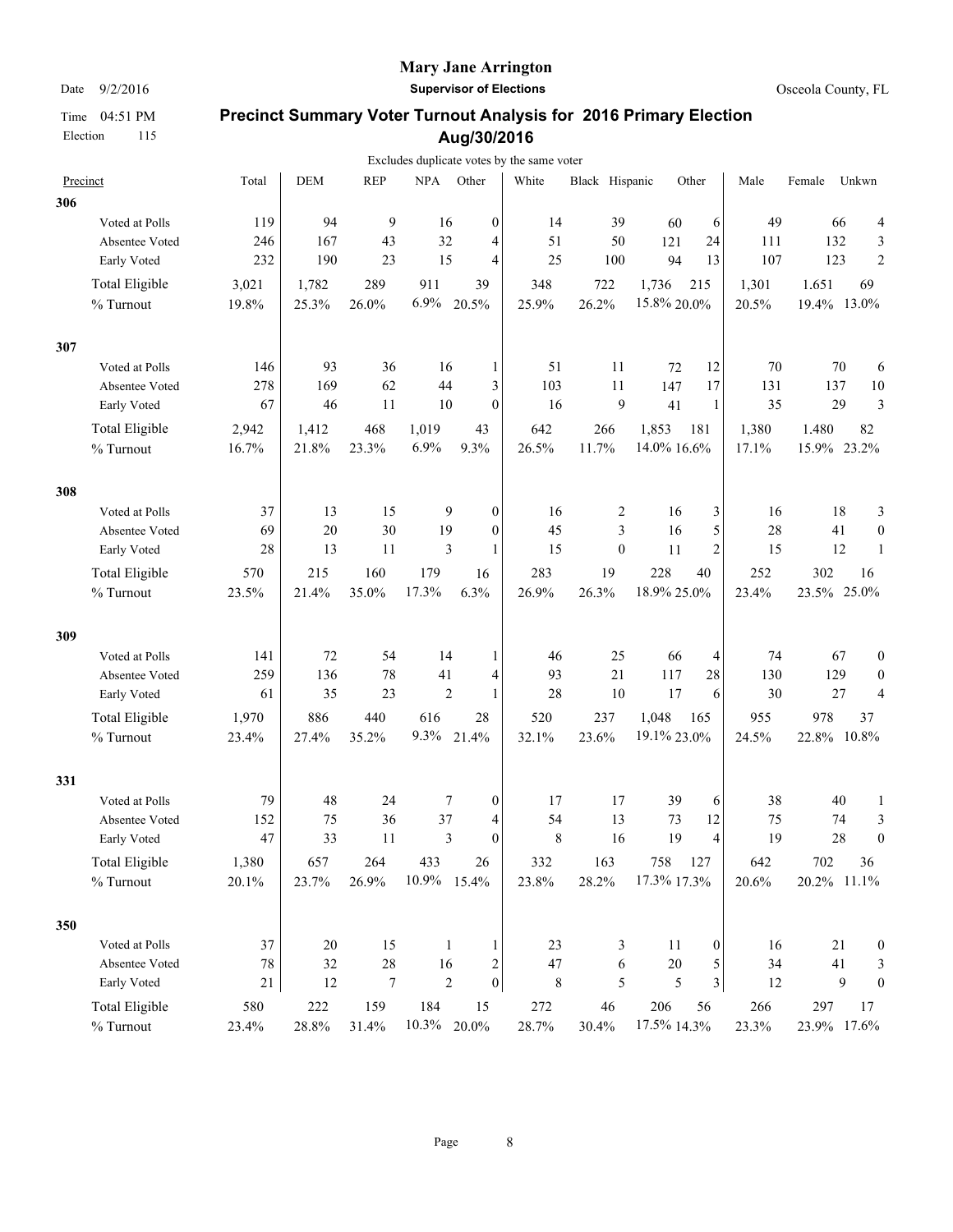Election 115

#### **Mary Jane Arrington**

Date  $9/2/2016$  **Supervisor of Elections Supervisor of Elections Osceola County, FL** 

|     |                       |        |            |                  |             |                                    | Excludes duplicate votes by the same voter |                |             |                         |        |             |       |                  |
|-----|-----------------------|--------|------------|------------------|-------------|------------------------------------|--------------------------------------------|----------------|-------------|-------------------------|--------|-------------|-------|------------------|
|     | Precinct              | Total  | <b>DEM</b> | <b>REP</b>       |             | NPA Other                          | White                                      | Black Hispanic |             | Other                   | Male   | Female      | Unkwn |                  |
| 306 |                       |        |            |                  |             |                                    |                                            |                |             |                         |        |             |       |                  |
|     | Voted at Polls        | 119    | 94         | 9                | 16          | $\boldsymbol{0}$                   | 14                                         | 39             | 60          | 6                       | 49     |             | 66    | 4                |
|     | Absentee Voted        | 246    | 167        | 43               | 32          | 4                                  | 51                                         | 50             | 121         | 24                      | 111    |             | 132   | 3                |
|     | Early Voted           | 232    | 190        | 23               | 15          | $\overline{4}$                     | 25                                         | 100            | 94          | 13                      | 107    | 123         |       | $\overline{2}$   |
|     | <b>Total Eligible</b> | 3,021  | 1,782      | 289              | 911         | 39                                 | 348                                        | 722            | 1,736       | 215                     | 1,301  | 1.651       |       | 69               |
|     | % Turnout             | 19.8%  | 25.3%      | 26.0%            | 6.9%        | 20.5%                              | 25.9%                                      | 26.2%          | 15.8% 20.0% |                         | 20.5%  | 19.4% 13.0% |       |                  |
| 307 |                       |        |            |                  |             |                                    |                                            |                |             |                         |        |             |       |                  |
|     | Voted at Polls        | 146    | 93         | 36               | 16          | 1                                  | 51                                         | 11             | 72          | 12                      | 70     |             | 70    | 6                |
|     | Absentee Voted        | 278    | 169        | 62               | 44          | 3                                  | 103                                        | 11             | 147         | 17                      | 131    |             | 137   | 10               |
|     | Early Voted           | 67     | 46         | 11               | 10          | $\mathbf{0}$                       | 16                                         | 9              | 41          | $\mathbf{1}$            | 35     |             | 29    | 3                |
|     | Total Eligible        | 2,942  | 1,412      | 468              | 1,019       | 43                                 | 642                                        | 266            | 1,853       | 181                     | 1,380  | 1,480       |       | 82               |
|     | % Turnout             | 16.7%  | 21.8%      | 23.3%            | 6.9%        | 9.3%                               | 26.5%                                      | 11.7%          | 14.0% 16.6% |                         | 17.1%  | 15.9% 23.2% |       |                  |
| 308 |                       |        |            |                  |             |                                    |                                            |                |             |                         |        |             |       |                  |
|     | Voted at Polls        | 37     | 13         | 15               |             | 9<br>$\boldsymbol{0}$              | 16                                         | 2              | 16          | 3                       | 16     |             | 18    | 3                |
|     | Absentee Voted        | 69     | $20\,$     | 30               | 19          | $\boldsymbol{0}$                   | 45                                         | 3              | 16          | 5                       | 28     |             | 41    | $\boldsymbol{0}$ |
|     | Early Voted           | 28     | 13         | 11               |             | 3<br>1                             | 15                                         | $\mathbf{0}$   | 11          | $\overline{c}$          | 15     |             | 12    | 1                |
|     | Total Eligible        | 570    | 215        | 160              | 179         | 16                                 | 283                                        | 19             | 228         | 40                      | 252    | 302         |       | 16               |
|     | % Turnout             | 23.5%  | 21.4%      | 35.0%            | 17.3%       | 6.3%                               | 26.9%                                      | 26.3%          | 18.9% 25.0% |                         | 23.4%  | 23.5%       |       | 25.0%            |
| 309 |                       |        |            |                  |             |                                    |                                            |                |             |                         |        |             |       |                  |
|     | Voted at Polls        | 141    | 72         | 54               | 14          | 1                                  | 46                                         | 25             | 66          | 4                       | 74     |             | 67    | $\boldsymbol{0}$ |
|     | Absentee Voted        | 259    | 136        | 78               | 41          | 4                                  | 93                                         | 21             | 117         | 28                      | 130    |             | 129   | $\boldsymbol{0}$ |
|     | Early Voted           | 61     | 35         | 23               |             | $\overline{2}$<br>1                | 28                                         | 10             | 17          | 6                       | 30     |             | 27    | $\overline{4}$   |
|     | Total Eligible        | 1,970  | 886        | 440              | 616         | 28                                 | 520                                        | 237            | 1,048       | 165                     | 955    | 978         |       | 37               |
|     | % Turnout             | 23.4%  | 27.4%      | 35.2%            | 9.3%        | 21.4%                              | 32.1%                                      | 23.6%          | 19.1% 23.0% |                         | 24.5%  | 22.8% 10.8% |       |                  |
| 331 |                       |        |            |                  |             |                                    |                                            |                |             |                         |        |             |       |                  |
|     | Voted at Polls        | 79     | 48         | 24               |             | 7<br>$\boldsymbol{0}$              | 17                                         | 17             | 39          | 6                       | 38     |             | 40    | 1                |
|     | Absentee Voted        | 152    | 75         | 36               | 37          | 4                                  | 54                                         | 13             | 73          | 12                      | 75     |             | 74    | 3                |
|     | Early Voted           | 47     | 33         | 11               |             | 3<br>$\mathbf{0}$                  | 8                                          | 16             | 19          | 4                       | 19     |             | 28    | $\boldsymbol{0}$ |
|     | Total Eligible        | 1,380  | 657        | 264              | 433         | 26                                 | 332                                        | 163            | 758         | 127                     | 642    | 702         |       | 36               |
|     | % Turnout             | 20.1%  | 23.7%      | 26.9%            | 10.9% 15.4% |                                    | 23.8%                                      | 28.2%          | 17.3% 17.3% |                         | 20.6%  | 20.2% 11.1% |       |                  |
| 350 |                       |        |            |                  |             |                                    |                                            |                |             |                         |        |             |       |                  |
|     | Voted at Polls        | 37     | 20         | 15               |             | 1<br>1                             | 23                                         | 3              | 11          | $\boldsymbol{0}$        | 16     |             | 21    | $\boldsymbol{0}$ |
|     | Absentee Voted        | $78\,$ | 32         | $28\,$           | 16          | 2                                  | $47\,$                                     | 6              | $20\,$      | 5                       | 34     |             | 41    | 3                |
|     | Early Voted           | 21     | 12         | $\boldsymbol{7}$ |             | $\overline{2}$<br>$\boldsymbol{0}$ | $\,$ 8 $\,$                                | 5              | 5           | $\overline{\mathbf{3}}$ | $12\,$ |             | 9     | $\boldsymbol{0}$ |
|     | Total Eligible        | 580    | 222        | 159              | 184         | 15                                 | 272                                        | $46\,$         | 206         | 56                      | 266    | 297         |       | 17               |
|     | $\%$ Turnout          | 23.4%  | 28.8%      | 31.4%            |             | $10.3\%$ 20.0%                     | 28.7%                                      | 30.4%          | 17.5% 14.3% |                         | 23.3%  | 23.9% 17.6% |       |                  |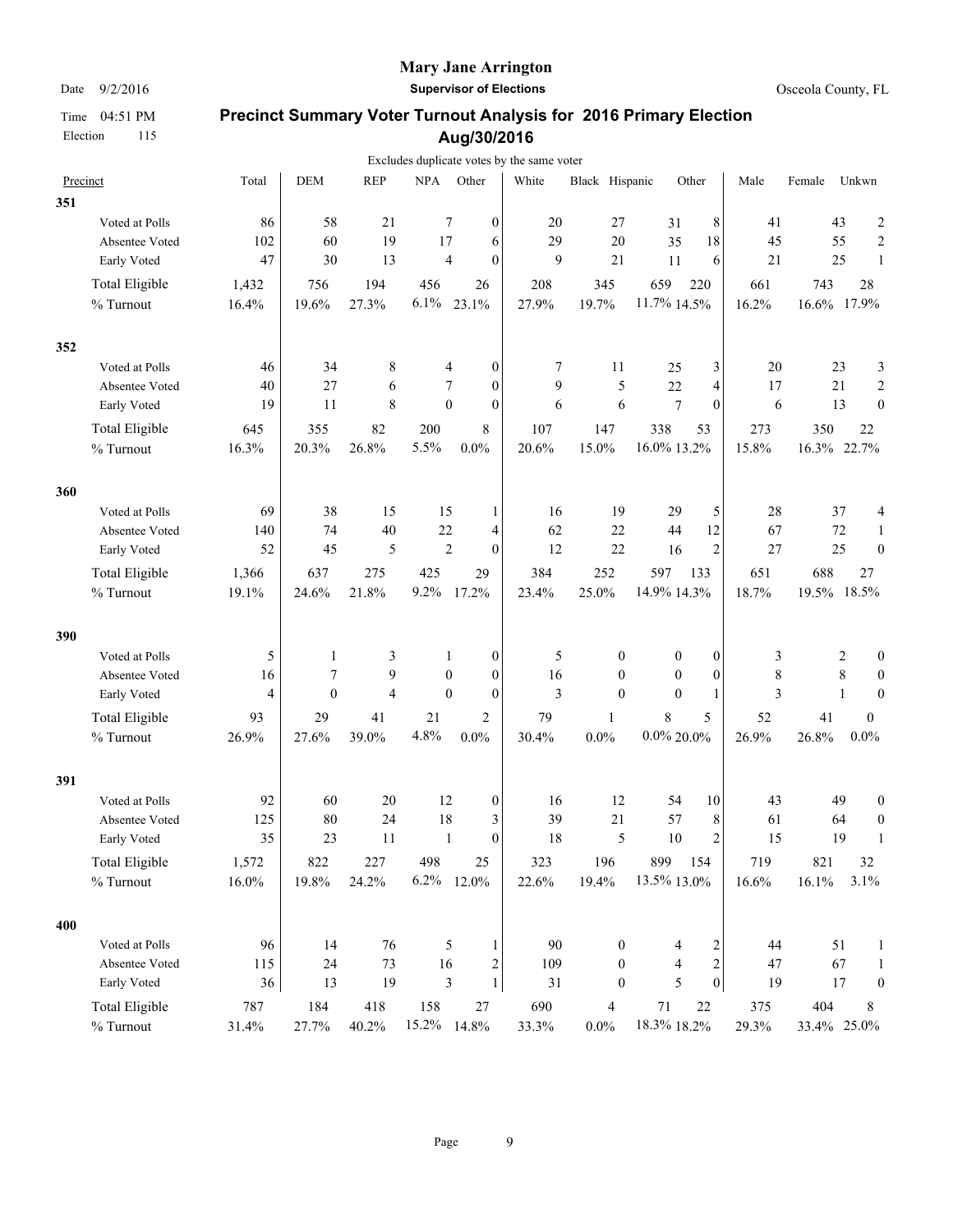Election 115

### **Mary Jane Arrington**

Date  $9/2/2016$  **Supervisor of Elections Supervisor of Elections Osceola County, FL** 

|     |                       |                |              |                |            |                                | Excludes duplicate votes by the same voter |                  |                  |                         |        |             |        |                  |
|-----|-----------------------|----------------|--------------|----------------|------------|--------------------------------|--------------------------------------------|------------------|------------------|-------------------------|--------|-------------|--------|------------------|
|     | Precinct              | Total          | <b>DEM</b>   | <b>REP</b>     | <b>NPA</b> | Other                          | White                                      | Black Hispanic   |                  | Other                   | Male   | Female      | Unkwn  |                  |
| 351 |                       |                |              |                |            |                                |                                            |                  |                  |                         |        |             |        |                  |
|     | Voted at Polls        | 86             | 58           | 21             |            | 7<br>$\boldsymbol{0}$          | 20                                         | 27               | 31               | 8                       | 41     |             | 43     | $\overline{c}$   |
|     | Absentee Voted        | 102            | 60           | 19             | 17         | 6                              | 29                                         | 20               | 35               | 18                      | 45     |             | 55     | $\overline{c}$   |
|     | Early Voted           | 47             | 30           | 13             |            | $\overline{4}$<br>$\mathbf{0}$ | 9                                          | 21               | 11               | 6                       | $21\,$ |             | 25     | 1                |
|     | <b>Total Eligible</b> | 1,432          | 756          | 194            | 456        | 26                             | 208                                        | 345              | 659              | 220                     | 661    | 743         |        | 28               |
|     | % Turnout             | 16.4%          | 19.6%        | 27.3%          | 6.1%       | 23.1%                          | 27.9%                                      | 19.7%            | 11.7% 14.5%      |                         | 16.2%  | 16.6% 17.9% |        |                  |
| 352 |                       |                |              |                |            |                                |                                            |                  |                  |                         |        |             |        |                  |
|     | Voted at Polls        | 46             | 34           | 8              |            | $\boldsymbol{0}$<br>4          | 7                                          | 11               | 25               | 3                       | 20     |             | 23     | 3                |
|     | Absentee Voted        | 40             | 27           | 6              |            | 7<br>$\mathbf{0}$              | 9                                          | 5                | 22               | 4                       | 17     |             | 21     | $\overline{c}$   |
|     | Early Voted           | 19             | 11           | 8              |            | $\theta$<br>$\mathbf{0}$       | 6                                          | 6                | $\overline{7}$   | $\overline{0}$          | 6      |             | 13     | $\mathbf{0}$     |
|     | <b>Total Eligible</b> | 645            | 355          | 82             | 200        | 8                              | 107                                        | 147              | 338              | 53                      | 273    | 350         |        | 22               |
|     | % Turnout             | 16.3%          | 20.3%        | 26.8%          | 5.5%       | $0.0\%$                        | 20.6%                                      | 15.0%            | 16.0% 13.2%      |                         | 15.8%  | 16.3% 22.7% |        |                  |
| 360 |                       |                |              |                |            |                                |                                            |                  |                  |                         |        |             |        |                  |
|     | Voted at Polls        | 69             | 38           | 15             | 15         | 1                              | 16                                         | 19               | 29               | 5                       | 28     |             | 37     | 4                |
|     | Absentee Voted        | 140            | 74           | 40             | 22         | 4                              | 62                                         | 22               | 44               | 12                      | 67     |             | $72\,$ | 1                |
|     | Early Voted           | 52             | 45           | 5              |            | $\overline{2}$<br>$\mathbf{0}$ | 12                                         | 22               | 16               | $\overline{2}$          | 27     |             | 25     | $\theta$         |
|     | <b>Total Eligible</b> | 1,366          | 637          | 275            | 425        | 29                             | 384                                        | 252              | 597              | 133                     | 651    | 688         |        | 27               |
|     | % Turnout             | 19.1%          | 24.6%        | 21.8%          | 9.2%       | 17.2%                          | 23.4%                                      | 25.0%            | 14.9% 14.3%      |                         | 18.7%  | 19.5% 18.5% |        |                  |
| 390 |                       |                |              |                |            |                                |                                            |                  |                  |                         |        |             |        |                  |
|     | Voted at Polls        | 5              | 1            | 3              |            | $\boldsymbol{0}$<br>1          | 5                                          | $\boldsymbol{0}$ | $\boldsymbol{0}$ | $\boldsymbol{0}$        | 3      |             | 2      | 0                |
|     | Absentee Voted        | 16             | $\tau$       | 9              |            | $\mathbf{0}$<br>$\mathbf{0}$   | 16                                         | $\mathbf{0}$     | $\mathbf{0}$     | $\boldsymbol{0}$        | 8      |             | 8      | $\boldsymbol{0}$ |
|     | Early Voted           | $\overline{4}$ | $\mathbf{0}$ | $\overline{4}$ |            | $\mathbf{0}$<br>$\mathbf{0}$   | 3                                          | $\theta$         | $\mathbf{0}$     | 1                       | 3      |             | 1      | $\mathbf{0}$     |
|     | <b>Total Eligible</b> | 93             | 29           | 41             | 21         | 2                              | 79                                         | 1                | $\,8\,$          | 5                       | 52     | 41          |        | $\boldsymbol{0}$ |
|     | % Turnout             | 26.9%          | 27.6%        | 39.0%          | 4.8%       | $0.0\%$                        | 30.4%                                      | $0.0\%$          | $0.0\%$ 20.0%    |                         | 26.9%  | 26.8%       |        | $0.0\%$          |
| 391 |                       |                |              |                |            |                                |                                            |                  |                  |                         |        |             |        |                  |
|     | Voted at Polls        | 92             | 60           | 20             | 12         | $\boldsymbol{0}$               | 16                                         | 12               | 54               | 10                      | 43     |             | 49     | $\boldsymbol{0}$ |
|     | Absentee Voted        | 125            | 80           | 24             | 18         | 3                              | 39                                         | 21               | 57               | 8                       | 61     |             | 64     | $\boldsymbol{0}$ |
|     | Early Voted           | 35             | 23           | 11             |            | $\mathbf{0}$<br>1              | 18                                         | 5                | 10               | $\overline{c}$          | 15     |             | 19     | $\mathbf{1}$     |
|     | <b>Total Eligible</b> | 1,572          | 822          | 227            | 498        | 25                             | 323                                        | 196              | 899              | 154                     | 719    | 821         |        | 32               |
|     | % Turnout             | $16.0\%$       | 19.8%        | 24.2%          |            | $6.2\%$ 12.0%                  | 22.6%                                      | 19.4%            | 13.5% 13.0%      |                         | 16.6%  | 16.1%       |        | 3.1%             |
| 400 |                       |                |              |                |            |                                |                                            |                  |                  |                         |        |             |        |                  |
|     | Voted at Polls        | 96             | 14           | 76             |            | 5<br>1                         | 90                                         | $\mathbf{0}$     | 4                | $\overline{\mathbf{c}}$ | 44     |             | 51     | $\mathbf{1}$     |
|     | Absentee Voted        | 115            | 24           | 73             | 16         | $\overline{c}$                 | 109                                        | $\mathbf{0}$     | 4                | $\sqrt{2}$              | $47\,$ |             | 67     | $\mathbf{1}$     |
|     | Early Voted           | 36             | 13           | 19             |            | $\mathfrak{Z}$<br>$\mathbf{1}$ | 31                                         | $\boldsymbol{0}$ | 5                | $\vert 0 \vert$         | 19     |             | $17\,$ | $\boldsymbol{0}$ |
|     | <b>Total Eligible</b> | 787            | 184          | 418            | 158        | $27\,$                         | 690                                        | $\overline{4}$   | $71\,$           | $22\,$                  | 375    | 404         |        | 8                |
|     | % Turnout             | 31.4%          | 27.7%        | 40.2%          |            | 15.2% 14.8%                    | 33.3%                                      | $0.0\%$          | 18.3% 18.2%      |                         | 29.3%  | 33.4% 25.0% |        |                  |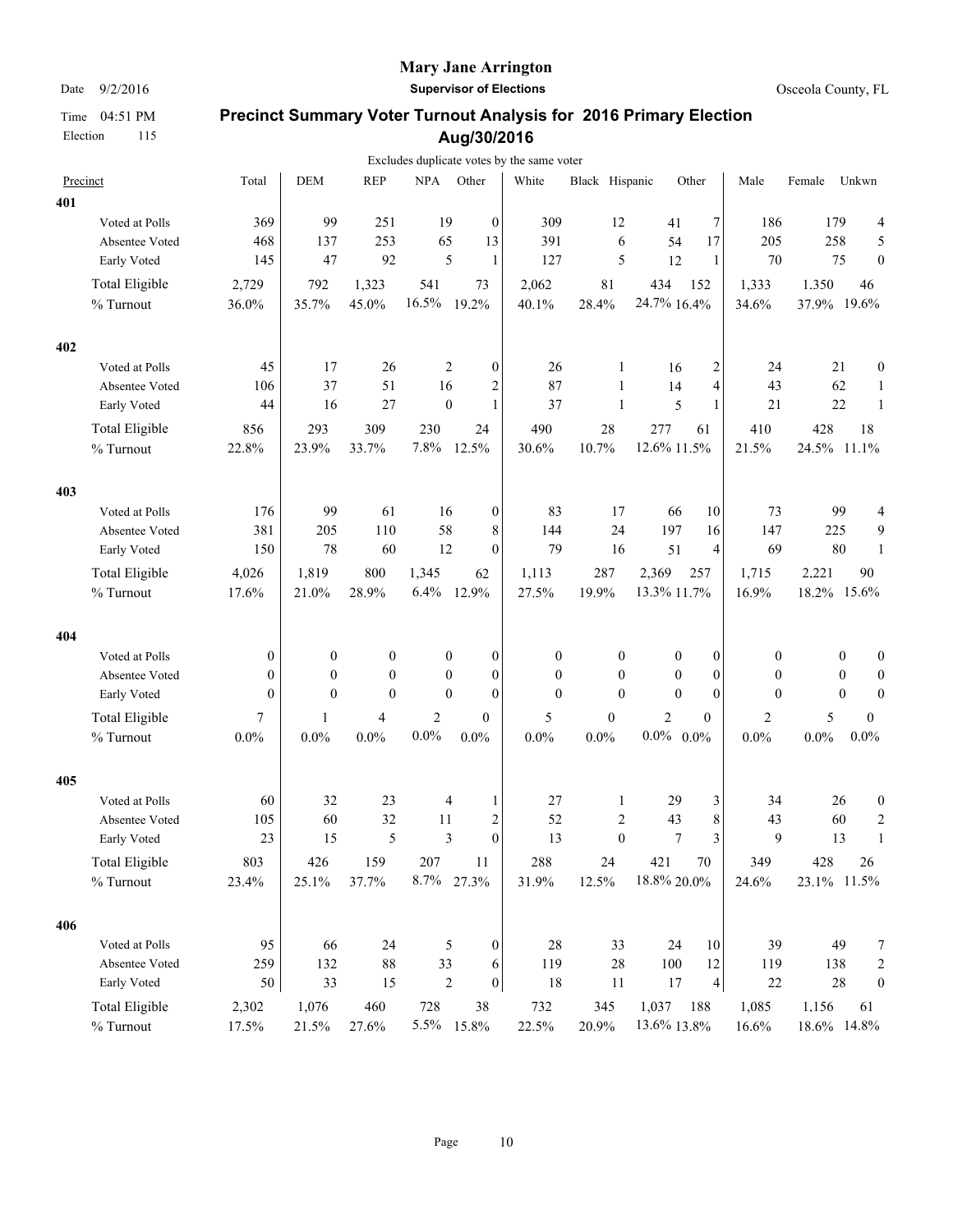#### **Mary Jane Arrington**

Date  $9/2/2016$  **Supervisor of Elections Supervisor of Elections Osceola County, FL** 

|     |                       |                  |                  |                  |                  |                         | Excludes duplicate votes by the same voter |                  |                  |                         |              |             |                  |                  |
|-----|-----------------------|------------------|------------------|------------------|------------------|-------------------------|--------------------------------------------|------------------|------------------|-------------------------|--------------|-------------|------------------|------------------|
|     | Precinct              | Total            | <b>DEM</b>       | <b>REP</b>       | <b>NPA</b>       | Other                   | White                                      | Black Hispanic   |                  | Other                   | Male         | Female      | Unkwn            |                  |
| 401 |                       |                  |                  |                  |                  |                         |                                            |                  |                  |                         |              |             |                  |                  |
|     | Voted at Polls        | 369              | 99               | 251              | 19               | $\boldsymbol{0}$        | 309                                        | 12               | 41               | 7                       | 186          | 179         |                  | 4                |
|     | Absentee Voted        | 468              | 137              | 253              | 65               | 13                      | 391                                        | 6                | 54               | 17                      | 205          | 258         |                  | 5                |
|     | Early Voted           | 145              | 47               | 92               | 5                | $\mathbf{1}$            | 127                                        | 5                | 12               | $\mathbf{1}$            | 70           | 75          |                  | $\mathbf{0}$     |
|     | Total Eligible        | 2,729            | 792              | 1,323            | 541              | 73                      | 2,062                                      | $8\sqrt{1}$      | 434              | 152                     | 1,333        | 1.350       | 46               |                  |
|     | % Turnout             | 36.0%            | 35.7%            | 45.0%            | 16.5%            | 19.2%                   | 40.1%                                      | 28.4%            | 24.7% 16.4%      |                         | 34.6%        | 37.9% 19.6% |                  |                  |
|     |                       |                  |                  |                  |                  |                         |                                            |                  |                  |                         |              |             |                  |                  |
| 402 |                       |                  |                  |                  |                  |                         |                                            |                  |                  |                         |              |             |                  |                  |
|     | Voted at Polls        | 45               | 17               | 26               | 2                | $\boldsymbol{0}$        | 26                                         | 1                | 16               | 2                       | 24           | 21          |                  | $\boldsymbol{0}$ |
|     | Absentee Voted        | 106              | 37               | 51               | 16               | $\overline{c}$          | 87                                         | 1                | 14               | $\overline{4}$          | 43           | 62          |                  | $\mathbf{1}$     |
|     | Early Voted           | 44               | 16               | 27               | $\boldsymbol{0}$ | $\mathbf{1}$            | 37                                         | $\mathbf{1}$     | 5                | $\mathbf{1}$            | 21           | 22          |                  | $\mathbf{1}$     |
|     | Total Eligible        | 856              | 293              | 309              | 230              | 24                      | 490                                        | 28               | 277              | 61                      | 410          | 428         | 18               |                  |
|     | % Turnout             | 22.8%            | 23.9%            | 33.7%            | 7.8%             | 12.5%                   | 30.6%                                      | 10.7%            | 12.6% 11.5%      |                         | 21.5%        | 24.5% 11.1% |                  |                  |
|     |                       |                  |                  |                  |                  |                         |                                            |                  |                  |                         |              |             |                  |                  |
| 403 |                       |                  |                  |                  |                  |                         |                                            |                  |                  |                         |              |             |                  |                  |
|     | Voted at Polls        | 176              | 99               | 61               | 16               | $\boldsymbol{0}$        | 83                                         | 17               | 66               | 10                      | 73           | 99          |                  | 4                |
|     | Absentee Voted        | 381              | 205              | 110              | 58               | 8                       | 144                                        | 24               | 197              | 16                      | 147          | 225         |                  | 9                |
|     | Early Voted           | 150              | 78               | 60               | 12               | $\boldsymbol{0}$        | 79                                         | 16               | 51               | 4                       | 69           | 80          |                  | $\mathbf{1}$     |
|     | <b>Total Eligible</b> | 4,026            | 1,819            | 800              | 1,345            | 62                      | 1,113                                      | 287              | 2,369            | 257                     | 1,715        | 2.221       | 90               |                  |
|     | % Turnout             | 17.6%            | 21.0%            | 28.9%            | 6.4%             | 12.9%                   | 27.5%                                      | 19.9%            | 13.3% 11.7%      |                         | 16.9%        | 18.2% 15.6% |                  |                  |
|     |                       |                  |                  |                  |                  |                         |                                            |                  |                  |                         |              |             |                  |                  |
| 404 |                       |                  |                  |                  |                  |                         |                                            |                  |                  |                         |              |             |                  |                  |
|     | Voted at Polls        | $\boldsymbol{0}$ | $\boldsymbol{0}$ | $\boldsymbol{0}$ | $\boldsymbol{0}$ | $\boldsymbol{0}$        | $\boldsymbol{0}$                           | 0                | $\boldsymbol{0}$ | $\mathbf{0}$            | $\mathbf{0}$ |             | $\bf{0}$         | $\boldsymbol{0}$ |
|     | Absentee Voted        | $\mathbf{0}$     | $\theta$         | $\mathbf{0}$     | $\mathbf{0}$     | $\theta$                | $\mathbf{0}$                               | $\mathbf{0}$     | $\boldsymbol{0}$ | $\mathbf{0}$            | $\mathbf{0}$ |             | $\boldsymbol{0}$ | $\boldsymbol{0}$ |
|     | Early Voted           | $\theta$         | $\theta$         | $\mathbf{0}$     | $\mathbf{0}$     | $\theta$                | $\mathbf{0}$                               | $\theta$         | $\theta$         | $\theta$                | $\theta$     |             | $\theta$         | $\boldsymbol{0}$ |
|     | <b>Total Eligible</b> | 7                | 1                | 4                | $\overline{c}$   | $\mathbf{0}$            | 5                                          | $\boldsymbol{0}$ | $\overline{c}$   | $\mathbf{0}$            | 2            | 5           |                  | $\boldsymbol{0}$ |
|     | % Turnout             | $0.0\%$          | $0.0\%$          | $0.0\%$          | $0.0\%$          | 0.0%                    | $0.0\%$                                    | $0.0\%$          | $0.0\%$          | $0.0\%$                 | $0.0\%$      | $0.0\%$     | 0.0%             |                  |
|     |                       |                  |                  |                  |                  |                         |                                            |                  |                  |                         |              |             |                  |                  |
| 405 |                       |                  |                  |                  |                  |                         |                                            |                  |                  |                         |              |             |                  |                  |
|     | Voted at Polls        | 60               | 32               | 23               | 4                | 1                       | 27                                         | 1                | 29               | 3                       | 34           | 26          |                  | $\boldsymbol{0}$ |
|     | Absentee Voted        | 105              | 60               | 32               | 11               | $\overline{\mathbf{c}}$ | 52                                         | 2                | 43               | $\,$ $\,$               | 43           |             | 60               | $\boldsymbol{2}$ |
|     | Early Voted           | 23               | 15               | 5                | 3                | $\theta$                | 13                                         | $\mathbf{0}$     | $\tau$           | 3                       | 9            | 13          |                  | $\mathbf{1}$     |
|     | <b>Total Eligible</b> | 803              | 426              | 159              | 207              | 11                      | 288                                        | 24               | 421              | 70                      | 349          | 428         | 26               |                  |
|     | % Turnout             | 23.4%            | 25.1%            | 37.7%            | 8.7%             | 27.3%                   | 31.9%                                      | 12.5%            | 18.8% 20.0%      |                         | 24.6%        | 23.1% 11.5% |                  |                  |
|     |                       |                  |                  |                  |                  |                         |                                            |                  |                  |                         |              |             |                  |                  |
| 406 | Voted at Polls        | 95               | 66               | 24               | 5                | $\boldsymbol{0}$        | 28                                         | 33               | 24               | 10                      | 39           |             | 49               | $\boldsymbol{7}$ |
|     | Absentee Voted        | 259              | 132              | $88\,$           | 33               | 6                       | 119                                        | $28\,$           | 100              | 12                      | 119          | 138         |                  | $\boldsymbol{2}$ |
|     | Early Voted           | $50\,$           | 33               | 15               | $\sqrt{2}$       | $\boldsymbol{0}$        | 18                                         | $11\,$           | 17               | $\overline{\mathbf{4}}$ | $22\,$       |             | $28\,$           | $\boldsymbol{0}$ |
|     |                       |                  |                  |                  |                  |                         |                                            |                  |                  |                         |              |             |                  |                  |
|     | <b>Total Eligible</b> | 2,302            | 1,076            | 460              | 728              | 38                      | 732                                        | 345              | 1,037            | 188                     | 1,085        | 1.156       | 61               |                  |
|     | % Turnout             | 17.5%            | 21.5%            | 27.6%            |                  | 5.5% 15.8%              | 22.5%                                      | 20.9%            | 13.6% 13.8%      |                         | 16.6%        | 18.6% 14.8% |                  |                  |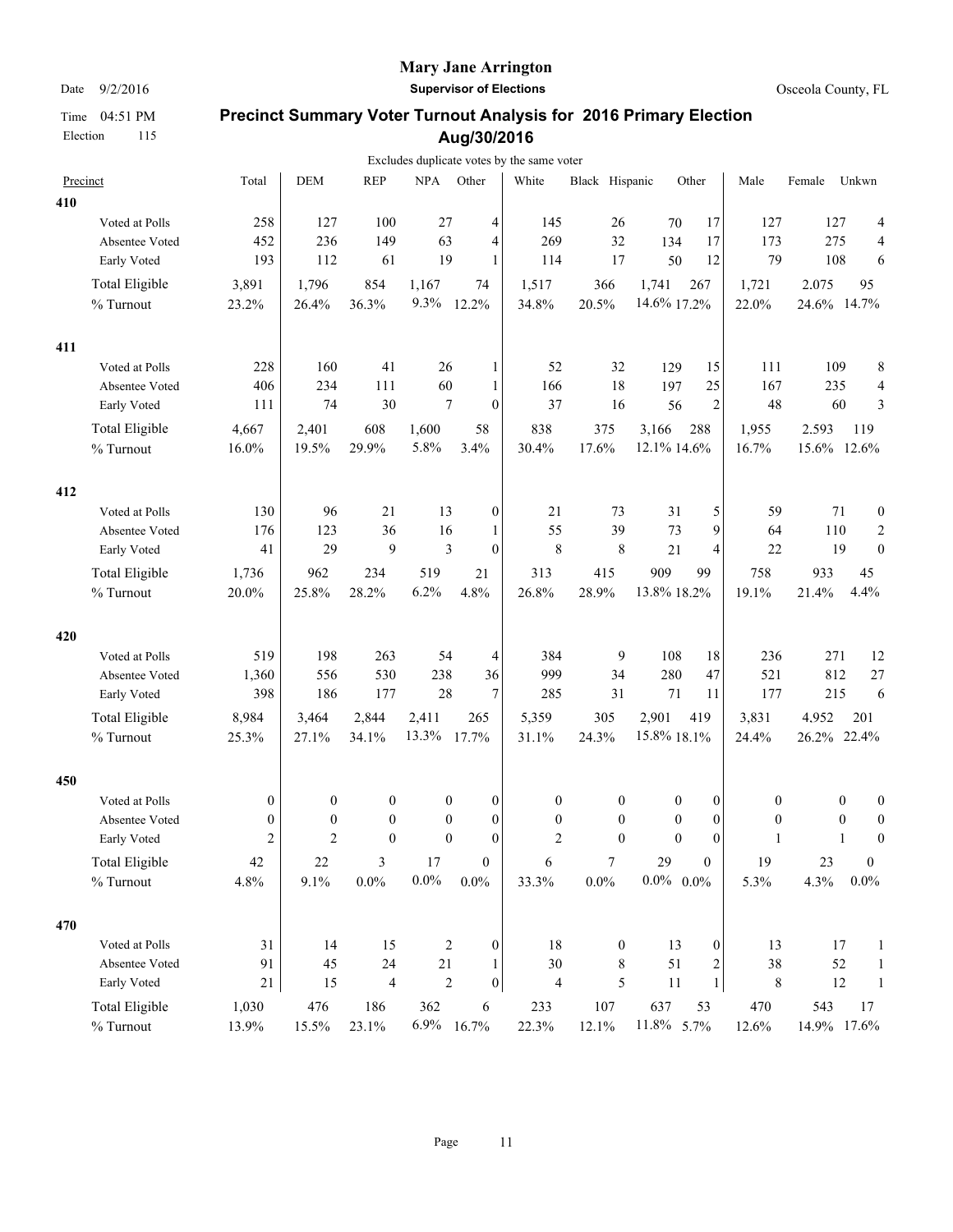### **Mary Jane Arrington**

Date  $9/2/2016$  **Supervisor of Elections Supervisor of Elections Osceola County, FL** 

|     |                       |                  |                  |                          |            |                                      | Excludes duplicate votes by the same voter |                  |                      |                      |                  |             |                  |                     |
|-----|-----------------------|------------------|------------------|--------------------------|------------|--------------------------------------|--------------------------------------------|------------------|----------------------|----------------------|------------------|-------------|------------------|---------------------|
|     | Precinct              | Total            | <b>DEM</b>       | <b>REP</b>               | <b>NPA</b> | Other                                | White                                      | Black Hispanic   |                      | Other                | Male             | Female      | Unkwn            |                     |
| 410 |                       |                  |                  |                          |            |                                      |                                            |                  |                      |                      |                  |             |                  |                     |
|     | Voted at Polls        | 258              | 127              | 100                      | 27         | 4                                    | 145                                        | 26               | 70                   | 17                   | 127              | 127         |                  | 4                   |
|     | Absentee Voted        | 452              | 236              | 149                      | 63         | 4                                    | 269                                        | 32               | 134                  | 17                   | 173              | 275         |                  | 4                   |
|     | Early Voted           | 193              | 112              | 61                       | 19         | 1                                    | 114                                        | 17               | 50                   | 12                   | 79               | 108         |                  | 6                   |
|     | Total Eligible        | 3,891            | 1,796            | 854                      | 1,167      | 74                                   | 1,517                                      | 366              | 1,741                | 267                  | 1,721            | 2.075       | 95               |                     |
|     | $\%$ Turnout          | 23.2%            | 26.4%            | 36.3%                    | 9.3%       | 12.2%                                | 34.8%                                      | 20.5%            | 14.6% 17.2%          |                      | 22.0%            | 24.6% 14.7% |                  |                     |
|     |                       |                  |                  |                          |            |                                      |                                            |                  |                      |                      |                  |             |                  |                     |
| 411 |                       |                  |                  |                          |            |                                      |                                            |                  |                      |                      |                  |             |                  |                     |
|     | Voted at Polls        | 228              | 160              | 41                       | 26         | 1                                    | 52                                         | 32               | 129                  | 15                   | 111              | 109         |                  | 8                   |
|     | Absentee Voted        | 406<br>111       | 234<br>74        | 111<br>30                | 60         | 1<br>7<br>$\mathbf{0}$               | 166<br>37                                  | 18<br>16         | 197<br>56            | 25<br>$\overline{2}$ | 167<br>48        | 235         | 60               | $\overline{4}$<br>3 |
|     | Early Voted           |                  |                  |                          |            |                                      |                                            |                  |                      |                      |                  |             |                  |                     |
|     | Total Eligible        | 4,667            | 2,401            | 608                      | 1,600      | 58                                   | 838                                        | 375              | 3,166                | 288                  | 1,955            | 2.593       | 119              |                     |
|     | % Turnout             | 16.0%            | 19.5%            | 29.9%                    | 5.8%       | 3.4%                                 | 30.4%                                      | 17.6%            | 12.1% 14.6%          |                      | 16.7%            | 15.6% 12.6% |                  |                     |
| 412 |                       |                  |                  |                          |            |                                      |                                            |                  |                      |                      |                  |             |                  |                     |
|     | Voted at Polls        | 130              | 96               | 21                       | 13         | $\boldsymbol{0}$                     | 21                                         | 73               | 31                   | 5                    | 59               | 71          |                  | $\boldsymbol{0}$    |
|     | Absentee Voted        | 176              | 123              | 36                       | 16         | 1                                    | 55                                         | 39               | 73                   | 9                    | 64               | 110         |                  | $\boldsymbol{2}$    |
|     | Early Voted           | 41               | 29               | 9                        |            | $\mathfrak{Z}$<br>$\mathbf{0}$       | 8                                          | $\,$ 8 $\,$      | 21                   | $\overline{4}$       | $22\,$           | 19          |                  | $\boldsymbol{0}$    |
|     | <b>Total Eligible</b> | 1,736            | 962              | 234                      | 519        | 21                                   | 313                                        | 415              | 909                  | 99                   | 758              | 933         | 45               |                     |
|     | % Turnout             | 20.0%            | 25.8%            | 28.2%                    | 6.2%       | 4.8%                                 | 26.8%                                      | 28.9%            | 13.8% 18.2%          |                      | 19.1%            | 21.4%       | 4.4%             |                     |
|     |                       |                  |                  |                          |            |                                      |                                            |                  |                      |                      |                  |             |                  |                     |
| 420 | Voted at Polls        | 519              | 198              | 263                      | 54         |                                      | 384                                        | 9                | 108                  | 18                   | 236              | 271         |                  |                     |
|     | Absentee Voted        | 1,360            | 556              | 530                      | 238        | 4<br>36                              | 999                                        | 34               | 280                  | 47                   | 521              | 812         |                  | 12<br>$27\,$        |
|     | Early Voted           | 398              | 186              | 177                      | 28         | 7                                    | 285                                        | 31               | 71                   | 11                   | 177              | 215         |                  | 6                   |
|     |                       |                  |                  |                          |            |                                      |                                            |                  |                      |                      |                  |             |                  |                     |
|     | <b>Total Eligible</b> | 8,984            | 3,464            | 2,844                    | 2,411      | 265                                  | 5,359                                      | 305              | 2,901                | 419                  | 3,831            | 4.952       | 201              |                     |
|     | % Turnout             | 25.3%            | 27.1%            | 34.1%                    | 13.3%      | 17.7%                                | 31.1%                                      | 24.3%            | 15.8% 18.1%          |                      | 24.4%            | 26.2% 22.4% |                  |                     |
| 450 |                       |                  |                  |                          |            |                                      |                                            |                  |                      |                      |                  |             |                  |                     |
|     | Voted at Polls        | $\boldsymbol{0}$ | $\boldsymbol{0}$ | $\boldsymbol{0}$         |            | $\boldsymbol{0}$<br>$\boldsymbol{0}$ | $\boldsymbol{0}$                           | $\boldsymbol{0}$ | 0                    | $\boldsymbol{0}$     | $\boldsymbol{0}$ |             | $\boldsymbol{0}$ | $\boldsymbol{0}$    |
|     | Absentee Voted        | $\boldsymbol{0}$ | $\boldsymbol{0}$ | $\boldsymbol{0}$         |            | $\boldsymbol{0}$<br>0                | $\boldsymbol{0}$                           | $\boldsymbol{0}$ | $\boldsymbol{0}$     | $\boldsymbol{0}$     | $\boldsymbol{0}$ |             | $\boldsymbol{0}$ | $\boldsymbol{0}$    |
|     | Early Voted           | $\overline{c}$   | $\overline{2}$   | $\mathbf{0}$             |            | $\mathbf{0}$<br>$\theta$             | $\overline{2}$                             | $\theta$         | $\mathbf{0}$         | $\theta$             | 1                |             | $\mathbf{1}$     | $\boldsymbol{0}$    |
|     | <b>Total Eligible</b> | 42               | $22\,$           | 3                        | 17         | $\boldsymbol{0}$                     | 6                                          | $\boldsymbol{7}$ | 29                   | $\boldsymbol{0}$     | 19               | 23          |                  | $\boldsymbol{0}$    |
|     | % Turnout             | 4.8%             | 9.1%             | $0.0\%$                  | $0.0\%$    | $0.0\%$                              | 33.3%                                      | $0.0\%$          | $0.0\%$ $\,$ $0.0\%$ |                      | 5.3%             | 4.3%        | $0.0\%$          |                     |
| 470 |                       |                  |                  |                          |            |                                      |                                            |                  |                      |                      |                  |             |                  |                     |
|     | Voted at Polls        | 31               | 14               | 15                       |            | 2<br>0                               | $18\,$                                     | $\boldsymbol{0}$ | 13                   | $\boldsymbol{0}$     | 13               |             | 17               | $\mathbf{1}$        |
|     | Absentee Voted        | 91               | 45               | $24\,$                   | 21         | 1                                    | 30                                         | 8                | 51                   | $\sqrt{2}$           | 38               |             | 52               | $\mathbf{1}$        |
|     | Early Voted           | 21               | 15               | $\overline{\mathcal{L}}$ |            | $\sqrt{2}$<br>0                      | $\overline{\mathbf{4}}$                    | $\mathfrak s$    | 11                   | $\mathbf{1}$         | $\,$ 8 $\,$      |             | $12\,$           | $\mathbf{1}$        |
|     | <b>Total Eligible</b> | 1,030            | 476              | 186                      | 362        | 6                                    | 233                                        | 107              | 637                  | 53                   | 470              | 543         | 17               |                     |
|     | $\%$ Turnout          | 13.9%            | 15.5%            | 23.1%                    |            | 6.9% 16.7%                           | 22.3%                                      | 12.1%            | 11.8% 5.7%           |                      | 12.6%            | 14.9% 17.6% |                  |                     |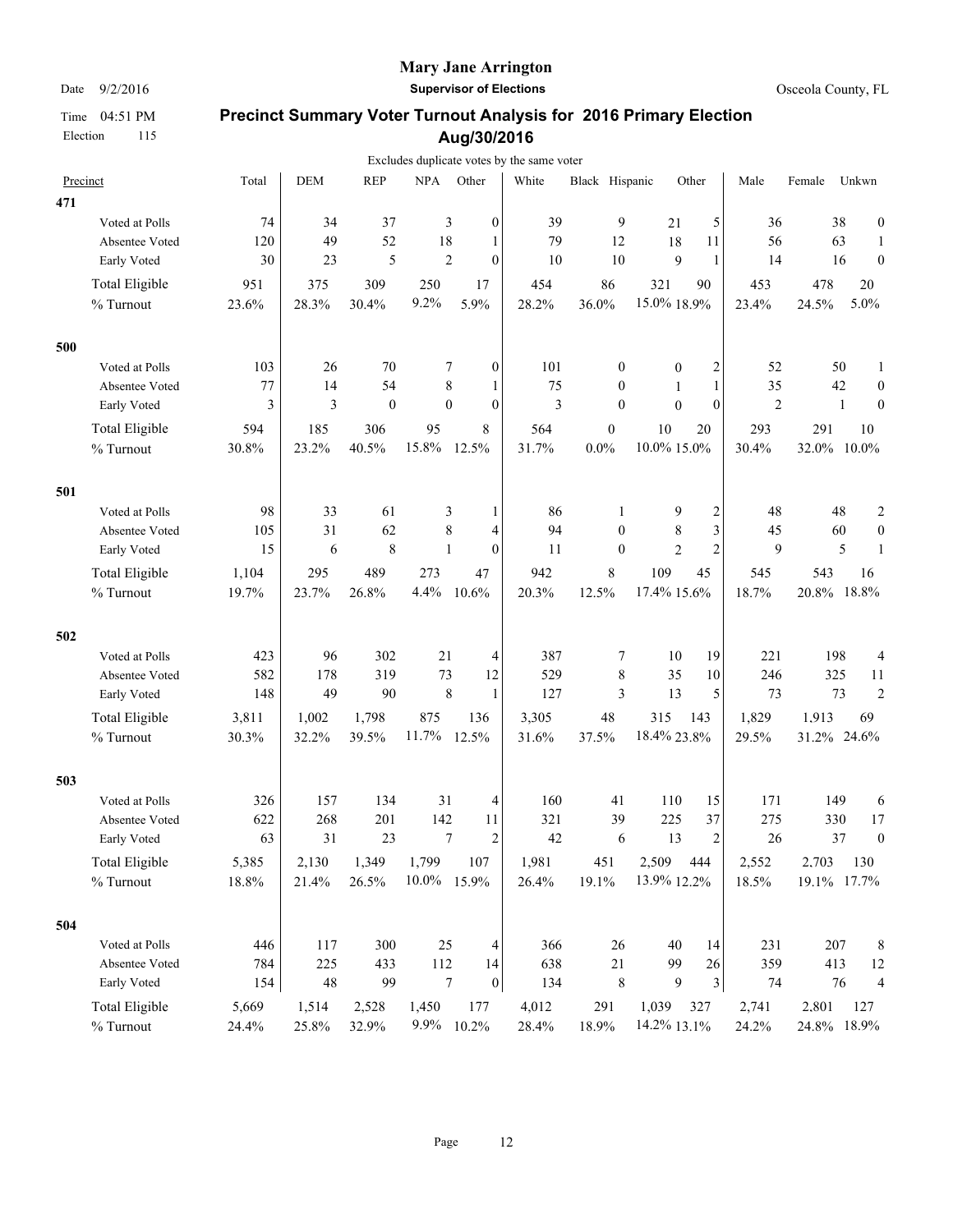### **Mary Jane Arrington**

Date  $9/2/2016$  **Supervisor of Elections Supervisor of Elections Osceola County, FL** 

|     |                       |       |            |                  |              |                                      | Excludes duplicate votes by the same voter |                  |                  |                         |                |             |                                  |
|-----|-----------------------|-------|------------|------------------|--------------|--------------------------------------|--------------------------------------------|------------------|------------------|-------------------------|----------------|-------------|----------------------------------|
|     | Precinct              | Total | <b>DEM</b> | <b>REP</b>       | <b>NPA</b>   | Other                                | White                                      | Black Hispanic   |                  | Other                   | Male           | Female      | Unkwn                            |
| 471 |                       |       |            |                  |              |                                      |                                            |                  |                  |                         |                |             |                                  |
|     | Voted at Polls        | 74    | 34         | 37               |              | 3<br>$\theta$                        | 39                                         | 9                | 21               | 5                       | 36             | 38          | $\boldsymbol{0}$                 |
|     | Absentee Voted        | 120   | 49         | 52               | 18           | 1                                    | 79                                         | 12               | 18               | 11                      | 56             | 63          | $\mathbf{1}$                     |
|     | Early Voted           | 30    | 23         | 5                |              | $\overline{2}$<br>$\mathbf{0}$       | 10                                         | 10               | 9                | $\mathbf{1}$            | 14             | 16          | $\boldsymbol{0}$                 |
|     | Total Eligible        | 951   | 375        | 309              | 250          | 17                                   | 454                                        | 86               | 321              | 90                      | 453            | 478         | 20                               |
|     | $\%$ Turnout          | 23.6% | 28.3%      | 30.4%            | 9.2%         | 5.9%                                 | 28.2%                                      | 36.0%            | 15.0% 18.9%      |                         | 23.4%          | 24.5%       | 5.0%                             |
| 500 |                       |       |            |                  |              |                                      |                                            |                  |                  |                         |                |             |                                  |
|     | Voted at Polls        | 103   | 26         | 70               |              | 7<br>$\boldsymbol{0}$                | 101                                        | $\boldsymbol{0}$ | $\boldsymbol{0}$ | 2                       | 52             | 50          | $\mathbf{1}$                     |
|     | Absentee Voted        | 77    | 14         | 54               |              | 8<br>1                               | 75                                         | $\mathbf{0}$     | 1                | 1                       | 35             | 42          | $\boldsymbol{0}$                 |
|     | Early Voted           | 3     | 3          | $\boldsymbol{0}$ |              | $\mathbf{0}$<br>$\mathbf{0}$         | 3                                          | $\mathbf{0}$     | $\mathbf{0}$     | $\mathbf{0}$            | $\overline{2}$ |             | $\boldsymbol{0}$<br>$\mathbf{1}$ |
|     | Total Eligible        | 594   | 185        | 306              | 95           | 8                                    | 564                                        | $\boldsymbol{0}$ | 10               | 20                      | 293            | 291         | 10                               |
|     | % Turnout             | 30.8% | 23.2%      | 40.5%            | 15.8%        | 12.5%                                | 31.7%                                      | $0.0\%$          | 10.0% 15.0%      |                         | 30.4%          | 32.0% 10.0% |                                  |
| 501 |                       |       |            |                  |              |                                      |                                            |                  |                  |                         |                |             |                                  |
|     | Voted at Polls        | 98    | 33         | 61               |              | 3<br>1                               | 86                                         | 1                | 9                | $\overline{\mathbf{c}}$ | 48             | 48          | $\boldsymbol{2}$                 |
|     | Absentee Voted        | 105   | 31         | 62               |              | $\,8\,$<br>4                         | 94                                         | $\mathbf{0}$     | $\,$ 8 $\,$      | $\overline{\mathbf{3}}$ | 45             | 60          | $\boldsymbol{0}$                 |
|     | Early Voted           | 15    | 6          | $\,$ 8 $\,$      | $\mathbf{1}$ | $\mathbf{0}$                         | 11                                         | $\mathbf{0}$     | $\overline{c}$   | $\overline{2}$          | 9              |             | 5<br>1                           |
|     | <b>Total Eligible</b> | 1,104 | 295        | 489              | 273          | 47                                   | 942                                        | $\,8\,$          | 109              | 45                      | 545            | 543         | 16                               |
|     | % Turnout             | 19.7% | 23.7%      | 26.8%            | 4.4%         | 10.6%                                | 20.3%                                      | 12.5%            | 17.4% 15.6%      |                         | 18.7%          | 20.8%       | 18.8%                            |
| 502 |                       |       |            |                  |              |                                      |                                            |                  |                  |                         |                |             |                                  |
|     | Voted at Polls        | 423   | 96         | 302              | 21           | 4                                    | 387                                        | 7                | 10               | 19                      | 221            | 198         | 4                                |
|     | Absentee Voted        | 582   | 178        | 319              | 73           | 12                                   | 529                                        | 8                | 35               | 10                      | 246            | 325         | 11                               |
|     | Early Voted           | 148   | 49         | 90               |              | $\,8\,$<br>1                         | 127                                        | 3                | 13               | 5                       | 73             | 73          | $\overline{c}$                   |
|     | <b>Total Eligible</b> | 3,811 | 1,002      | 1,798            | 875          | 136                                  | 3,305                                      | 48               | 315              | 143                     | 1,829          | 1.913       | 69                               |
|     | % Turnout             | 30.3% | 32.2%      | 39.5%            | 11.7%        | 12.5%                                | 31.6%                                      | 37.5%            | 18.4% 23.8%      |                         | 29.5%          | 31.2% 24.6% |                                  |
| 503 |                       |       |            |                  |              |                                      |                                            |                  |                  |                         |                |             |                                  |
|     | Voted at Polls        | 326   | 157        | 134              | 31           | 4                                    | 160                                        | 41               | 110              | 15                      | 171            | 149         | 6                                |
|     | Absentee Voted        | 622   | 268        | 201              | 142          | 11                                   | 321                                        | 39               | 225              | 37                      | 275            | 330         | 17                               |
|     | Early Voted           | 63    | 31         | 23               |              | 7<br>$\overline{c}$                  | 42                                         | 6                | 13               | $\overline{2}$          | 26             | 37          | $\boldsymbol{0}$                 |
|     | <b>Total Eligible</b> | 5,385 | 2,130      | 1,349            | 1,799        | 107                                  | 1,981                                      | 451              | 2,509            | 444                     | 2,552          | 2.703       | 130                              |
|     | % Turnout             | 18.8% | 21.4%      | 26.5%            | 10.0%        | 15.9%                                | 26.4%                                      | 19.1%            | 13.9% 12.2%      |                         | 18.5%          | 19.1% 17.7% |                                  |
| 504 |                       |       |            |                  |              |                                      |                                            |                  |                  |                         |                |             |                                  |
|     | Voted at Polls        | 446   | 117        | 300              | 25           | 4                                    | 366                                        | 26               | 40               | 14                      | 231            | 207         | 8                                |
|     | Absentee Voted        | 784   | 225        | 433              | 112          | 14                                   | 638                                        | $21\,$           | 99               | 26                      | 359            | 413         | 12                               |
|     | Early Voted           | 154   | 48         | 99               |              | $\boldsymbol{7}$<br>$\boldsymbol{0}$ | 134                                        | $\,8\,$          | 9                | 3                       | 74             | 76          | $\overline{4}$                   |
|     | <b>Total Eligible</b> | 5,669 | 1,514      | 2,528            | 1,450        | 177                                  | 4,012                                      | 291              | 1,039            | 327                     | 2,741          | 2.801       | 127                              |
|     | % Turnout             | 24.4% | 25.8%      | 32.9%            | $9.9\%$      | 10.2%                                | 28.4%                                      | 18.9%            | 14.2% 13.1%      |                         | 24.2%          |             | 24.8% 18.9%                      |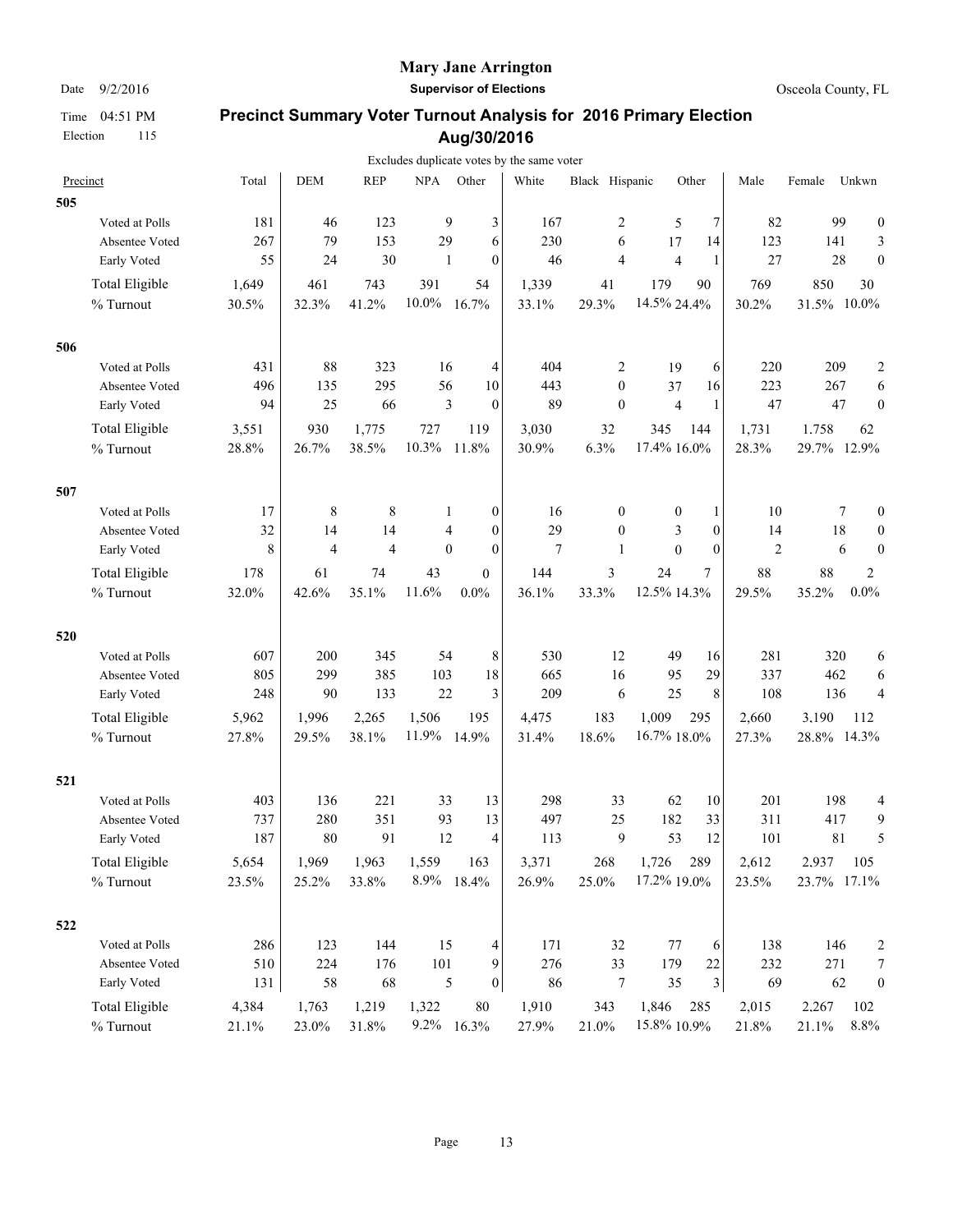#### **Mary Jane Arrington**

Date  $9/2/2016$  **Supervisor of Elections Supervisor of Elections Osceola County, FL** 

|     |                       |       |                |                |              |                              | Excludes duplicate votes by the same voter |                  |                |                         |                |             |          |                  |
|-----|-----------------------|-------|----------------|----------------|--------------|------------------------------|--------------------------------------------|------------------|----------------|-------------------------|----------------|-------------|----------|------------------|
|     | Precinct              | Total | <b>DEM</b>     | <b>REP</b>     | <b>NPA</b>   | Other                        | White                                      | Black Hispanic   |                | Other                   | Male           | Female      | Unkwn    |                  |
| 505 |                       |       |                |                |              |                              |                                            |                  |                |                         |                |             |          |                  |
|     | Voted at Polls        | 181   | 46             | 123            | 9            | 3                            | 167                                        | 2                | 5              | 7                       | 82             | 99          |          | $\boldsymbol{0}$ |
|     | Absentee Voted        | 267   | 79             | 153            | 29           | 6                            | 230                                        | 6                | 17             | 14                      | 123            | 141         |          | 3                |
|     | Early Voted           | 55    | 24             | 30             | $\mathbf{1}$ | $\mathbf{0}$                 | 46                                         | $\overline{4}$   | $\overline{4}$ | 1                       | 27             | 28          |          | $\mathbf{0}$     |
|     | <b>Total Eligible</b> | 1,649 | 461            | 743            | 391          | 54                           | 1,339                                      | 41               | 179            | 90                      | 769            | 850         | 30       |                  |
|     | % Turnout             | 30.5% | 32.3%          | 41.2%          | 10.0%        | 16.7%                        | 33.1%                                      | 29.3%            | 14.5% 24.4%    |                         | 30.2%          | 31.5%       | $10.0\%$ |                  |
| 506 |                       |       |                |                |              |                              |                                            |                  |                |                         |                |             |          |                  |
|     | Voted at Polls        | 431   | 88             | 323            | 16           | 4                            | 404                                        | 2                | 19             | 6                       | 220            | 209         |          | 2                |
|     | Absentee Voted        | 496   | 135            | 295            | 56           | 10                           | 443                                        | $\mathbf{0}$     | 37             | 16                      | 223            | 267         |          | 6                |
|     | Early Voted           | 94    | 25             | 66             |              | 3<br>$\mathbf{0}$            | 89                                         | $\mathbf{0}$     | $\overline{4}$ | $\mathbf{1}$            | 47             | 47          |          | $\boldsymbol{0}$ |
|     | <b>Total Eligible</b> | 3,551 | 930            | 1,775          | 727          | 119                          | 3,030                                      | 32               | 345            | 144                     | 1,731          | 1.758       | 62       |                  |
|     | % Turnout             | 28.8% | 26.7%          | 38.5%          | 10.3%        | 11.8%                        | 30.9%                                      | 6.3%             | 17.4% 16.0%    |                         | 28.3%          | 29.7% 12.9% |          |                  |
| 507 |                       |       |                |                |              |                              |                                            |                  |                |                         |                |             |          |                  |
|     | Voted at Polls        | 17    | 8              | 8              |              | 0<br>1                       | 16                                         | $\boldsymbol{0}$ | 0              | 1                       | 10             |             | 7        | $\boldsymbol{0}$ |
|     | Absentee Voted        | 32    | 14             | 14             |              | $\mathbf{0}$<br>4            | 29                                         | $\mathbf{0}$     | 3              | $\mathbf{0}$            | 14             | 18          |          | $\boldsymbol{0}$ |
|     | Early Voted           | 8     | $\overline{4}$ | $\overline{4}$ |              | $\mathbf{0}$<br>$\mathbf{0}$ | $\overline{7}$                             | 1                | $\mathbf{0}$   | $\theta$                | $\overline{c}$ |             | 6        | $\boldsymbol{0}$ |
|     | <b>Total Eligible</b> | 178   | 61             | 74             | 43           | $\overline{0}$               | 144                                        | 3                | 24             | 7                       | 88             | 88          | 2        |                  |
|     | % Turnout             | 32.0% | 42.6%          | 35.1%          | 11.6%        | 0.0%                         | 36.1%                                      | 33.3%            | 12.5% 14.3%    |                         | 29.5%          | 35.2%       | $0.0\%$  |                  |
| 520 |                       |       |                |                |              |                              |                                            |                  |                |                         |                |             |          |                  |
|     | Voted at Polls        | 607   | 200            | 345            | 54           | 8                            | 530                                        | 12               | 49             | 16                      | 281            | 320         |          | 6                |
|     | Absentee Voted        | 805   | 299            | 385            | 103          | 18                           | 665                                        | 16               | 95             | 29                      | 337            | 462         |          | 6                |
|     | Early Voted           | 248   | 90             | 133            | 22           | 3                            | 209                                        | 6                | 25             | 8                       | 108            | 136         |          | $\overline{4}$   |
|     | <b>Total Eligible</b> | 5,962 | 1,996          | 2,265          | 1,506        | 195                          | 4,475                                      | 183              | 1,009          | 295                     | 2,660          | 3.190       | 112      |                  |
|     | % Turnout             | 27.8% | 29.5%          | 38.1%          | 11.9%        | 14.9%                        | 31.4%                                      | 18.6%            | 16.7% 18.0%    |                         | 27.3%          | 28.8% 14.3% |          |                  |
| 521 |                       |       |                |                |              |                              |                                            |                  |                |                         |                |             |          |                  |
|     | Voted at Polls        | 403   | 136            | 221            | 33           | 13                           | 298                                        | 33               | 62             | 10                      | 201            | 198         |          | 4                |
|     | Absentee Voted        | 737   | 280            | 351            | 93           | 13                           | 497                                        | 25               | 182            | 33                      | 311            | 417         |          | $\mathbf{9}$     |
|     | Early Voted           | 187   | 80             | 91             | 12           | 4                            | 113                                        | 9                | 53             | 12                      | 101            | 81          |          | 5                |
|     | <b>Total Eligible</b> | 5,654 | 1,969          | 1,963          | 1,559        | 163                          | 3,371                                      | 268              | 1,726          | 289                     | 2,612          | 2.937       | 105      |                  |
|     | % Turnout             | 23.5% | 25.2%          | 33.8%          | 8.9%         | 18.4%                        | 26.9%                                      | 25.0%            | 17.2% 19.0%    |                         | 23.5%          | 23.7% 17.1% |          |                  |
| 522 |                       |       |                |                |              |                              |                                            |                  |                |                         |                |             |          |                  |
|     | Voted at Polls        | 286   | 123            | 144            | 15           | 4                            | 171                                        | 32               | 77             | 6                       | 138            | 146         |          | 2                |
|     | Absentee Voted        | 510   | 224            | 176            | 101          | 9                            | 276                                        | 33               | 179            | 22                      | 232            | 271         |          | $\boldsymbol{7}$ |
|     | Early Voted           | 131   | 58             | 68             |              | 5<br>$\overline{0}$          | 86                                         | 7                | 35             | $\overline{\mathbf{3}}$ | 69             | 62          |          | $\boldsymbol{0}$ |
|     | <b>Total Eligible</b> | 4,384 | 1,763          | 1,219          | 1,322        | $80\,$                       | 1,910                                      | 343              | 1,846          | 285                     | 2,015          | 2.267       | 102      |                  |
|     | % Turnout             | 21.1% | 23.0%          | 31.8%          |              | 9.2% 16.3%                   | 27.9%                                      | 21.0%            | 15.8% 10.9%    |                         | 21.8%          | 21.1%       | 8.8%     |                  |